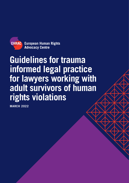

**European Human Rights Advocacy Centre** 

# **Guidelines for trauma informed legal practice for lawyers working with adult survivors of human rights violations**

**MARCH 2022**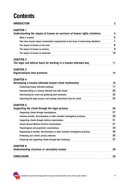## **Contents**

| <b>INRODUCTION</b>                                                                       | 3  |
|------------------------------------------------------------------------------------------|----|
| <b>CHAPTER 1</b>                                                                         |    |
| Understanding the impact of trauma on survivors of human rights violations               | 5  |
| What is trauma?                                                                          | 6  |
| How does trauma impact communities marginalised on the basis of intersecting identities? | 7  |
| The impact of trauma on the brain                                                        | 8  |
| The impact of trauma on memory                                                           | 9  |
| The impact of trauma on behaviour                                                        | 10 |
| <b>CHAPTER 2</b><br>The legal and ethical basis for working in a trauma informed way     | 11 |
| <b>CHAPTER 3</b><br><b>Organisational best practices</b>                                 | 14 |
|                                                                                          |    |
| <b>CHAPTER 4</b>                                                                         |    |
| Developing a trauma-informed lawyer-client relationship                                  | 16 |
| <b>Conducting trauma informed meetings</b>                                               | 17 |
| Communicating in a trauma informed way with clients                                      | 20 |
| Interviewing the client and gathering their testimony                                    | 22 |
| Explaining the legal process and seeking instructions from the client                    | 23 |
| <b>CHAPTER 5</b>                                                                         |    |
| Supporting the client through the legal process                                          | 26 |
| Supporting clients through investigations                                                | 27 |
| Common harmful, discriminatory or other unlawful investigative practices:                | 29 |
| Supporting clients through medical examinations                                          | 31 |
| <b>Sexual Assault Medical Forensic Examinations</b>                                      | 31 |
| Psychological and psychiatric examinations                                               | 34 |
| Responding to harmful, discriminatory or other unlawful investigative practices          | 35 |
| Protecting your client's privacy interests                                               | 35 |
| Preparing and supporting clients through their testimony                                 | 37 |
| <b>CHAPTER 6</b>                                                                         |    |
| Understanding vicarious or secondary trauma                                              | 38 |
| <b>CONCLUSION</b>                                                                        | 39 |
|                                                                                          |    |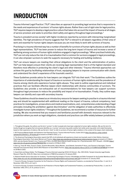## <span id="page-2-0"></span>**INRODUCTION**

Trauma Informed Legal Practice ['TILP'] describes an approach to providing legal services that is responsive to the needs and experiences of survivors<sup>1</sup> of human rights abuses. Rather than a set of rigid rules for legal practice, TILP requires lawyers to develop a legal practice culture that takes into account the impact of trauma at all stages of service provision and seeks to prioritise client safety and agency throughout legal proceedings.<sup>2</sup>

Trauma is prevalent across society<sup>3</sup> with higher incidences reported by survivors with intersecting marginalised identities. The high prevalence of trauma suggests that TILP is relevant to all lawyers regardless of their area of work and essential for human rights lawyers because you are most likely to work with survivors of trauma.

Practising in a trauma informed way has a number of benefits for survivors of human rights abuses as well as their legal representatives. TILP has been proven to reduce the long-term impact of trauma and increase a sense of wellbeing among survivors of human rights violations engaged in legal proceedings.<sup>4</sup> When practised holistically, TILP can not only reduce the risk of re-traumatisation that is common for survivors engaged in legal proceedings, it can also empower survivors to seek the supports necessary for healing and building resilience.

TILP can ensure lawyers are meeting their ethical obligations to the client and the administration of justice. TILP can help lawyers ensure their clients are receiving legal representation that is of the highest standard and therefore most effective in protecting the client's legal and other interests.5 Trauma informed approaches can achieve this goal by facilitating relationships of trust, equipping lawyers to improve communication with clients and understand the client's experience of the traumatic event(s).

These Guidelines provide advice for how lawyers can integrate TILP into their work.<sup>6</sup> The Guidelines outline the importance of understanding the impact of trauma on survivors of human rights violations and the prevalence of trauma among clients who experience human rights abuses. They seek to outline organisational and individual practices that can facilitate effective lawyer-client relationships with diverse communities of survivors. The Guidelines also provide a non-exhaustive set of recommendations for how lawyers can support survivors throughout legal processes to reduce the possibility and impact of re-traumatisation. Finally, they outline ways lawyers can identify and cope with secondary trauma.

These Guidelines should be viewed as an introductory resource for lawyers seeking to practise in a trauma informed way and should be supplemented with additional reading on the impact of trauma; cultural competency; best practices for investigations, prosecutions and medical examinations; and, comprehensive understanding of legal principles including the prohibition against discrimination<sup>7</sup> and the obligation of state authorities to effectively investigate human rights violations.<sup>8</sup> Throughout the Guidelines, we recommend a number of resources for further reading. We also recommend that you research and familiarise yourself with domestic resources relevant to the jurisdiction where you work as legal obligations, standards and practices can differ widely between jurisdictions.

<sup>1.</sup> Throughout this guide, the authors use the term 'survivor' to refer to people who have been subjected to human rights violations. We use this term for brevity though we recognise that not everyone identifies as a 'survivor' and some may prefer another term while some may prefer not to label themselves based on their experience of violence. We use the term 'client' to refer to survivors of human rights violations in the context of the lawyer-client relationship. 2. BC Provincial Mental Health and Substance Use Planning Council, Trauma-Informed Practice, Guide (2013) [https://bccewh.bc.ca/wp-content/](National Health Service Education for Scotland, ‘Transforming Psychological Trauma: A Knowledge and Skills Framework for the Scottish Workforce (2017) https://www.nes.scot.nhs.uk/media/rgxngvpv/nationaltraumatrainingframework-execsummary-web.pdf accessed on 21 January 2022.) [uploads/2012/05/2013\\_TIP-Guide.pdf](National Health Service Education for Scotland, ‘Transforming Psychological Trauma: A Knowledge and Skills Framework for the Scottish Workforce (2017) https://www.nes.scot.nhs.uk/media/rgxngvpv/nationaltraumatrainingframework-execsummary-web.pdf accessed on 21 January 2022.) accessed on 20 March 2022, p 11.

<sup>3.</sup> The American Psychological Association reports that 50% of all individuals will experience at least one traumatic event in their lifetime. American Psychological Association, Facts about Women and Trauma,<https://www.apa.org/advocacy/interpersonal-violence/women-trauma> accessed on 21 March 2022; see also Kessler Ronald C et al, Trauma and PTSD in the WHO World Mental Health Surveys, Eur J Psychotraumatol. 2017; 8(sup5): 1353383 [https://](https://www.ncbi.nlm.nih.gov/pmc/articles/PMC5632781/) [www.ncbi.nlm.nih.gov/pmc/articles/PMC5632781/](https://www.ncbi.nlm.nih.gov/pmc/articles/PMC5632781/) accessed on 20 March 2022.

<sup>4.</sup> See e.g. Travis W. Hales, Susan A. Green, Suzanne Bissonette, Alyssa Warden, Josal Diebold, Samantha P. Koury, and Thomas H. Nochajski, TraumaInformed Care Outcome Study (2019) 29(5) Research on Social Work Practice, <https://doi-org.ezproxy.mdx.ac.uk/10.1177/1049731518766618>accessed on 20 March 2022.

<sup>5.</sup> Sarah Katz and Deeya Haldar, The Pedagogy of Trauma-Informed Lawyering (2016) 22 Clinical L. Rev. 359 (2016), Temple University Legal Studies Research Paper No. 2016-29, https://ssrn.com/abstract=2768218 accessed on 15 January 2022.

<sup>6.</sup> National Health Service Education for Scotland, 'Transforming Psychological Trauma: A Knowledge and Skills Framework for the Scottish Workforce (2017) <https://www.nes.scot.nhs.uk/media/rgxngvpv/nationaltraumatrainingframework-execsummary-web.pdf>accessed on 21 January 2022.

<sup>7.</sup> Council of Europe, European Convention for the Protection of Human Rights and Fundamental Freedoms, as amended by Protocols Nos. 11 and 14, 4 November 1950, ETS 5, art 2 and 3.

<sup>8.</sup> Council of Europe, European Convention for the Protection of Human Rights and Fundamental Freedoms, as amended by Protocols Nos. 11 and 14, 4 November 1950, ETS 5, art 14, protocol 12 art 1.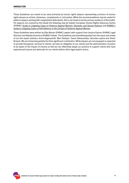These Guidelines are meant to be used primarily by human rights lawyers representing survivors of human rights abuses as victims, witnesses, complainants or civil parties. While the recommendations may be useful for defence lawyers working with marginalised defendants, this is not meant to be the primary audience of the toolkit. For aspects not covered by this Guide the following may be helpful: European Human Rights Advocacy Centre (EHRAC) [Guide to Litigating Cases of Violence Against Women: Domestic and Sexual Violence](https://ehrac.org.uk/wp-content/uploads/2021/09/EHRAC-Guide-to-Litigating-Cases-of-Violence-Against-Women-ENG.pdf) and [EHRAC's](https://ehrac.org.uk/wp-content/uploads/2021/12/Self-defence-guide-ENG.pdf)  [Guide to Litigating Cases of Self-Defence in the Context of Violence Against Women](https://ehrac.org.uk/wp-content/uploads/2021/12/Self-defence-guide-ENG.pdf).

These Guidelines were written by Elba Bendo (EHRAC Lawyer) with support from Jessica Gavron (EHRAC Legal Director) and Natalia Duminica (EHRAC Fellow). The Guidelines also benefited greatly from the input and review of our five expert advisers: Anna Arganashvili, Mari Davtyan, Tamar Dekanosidze, Veronika Lapina and Vivien Brassói. We are immensely grateful for their significant contribution. While lawyers are not equipped or expected to provide therapeutic services to clients, we have an obligation to our clients and the administration of justice to be aware of the impact of trauma so that we can effectively adapt our practice to support clients who have experienced trauma and advocate for our clients before other legal system actors.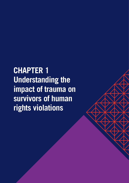<span id="page-4-0"></span>**CHAPTER 1 Understanding the impact of trauma on survivors of human rights violations**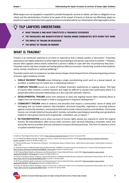<span id="page-5-0"></span>While lawyers are not equipped or expected to provide therapeutic services to clients, we have an obligation to our clients and the administration of justice to be aware of the impact of trauma so that we can effectively adapt our practice to support clients who have experienced trauma and advocate for our clients before other legal system actors.

## **TILP LAWYERS UNDERSTAND:**

- **WHAT TRAUMA IS AND WHAT CONSTITUTES A TRAUMATIC EXPERIENCE**
- **THE PREVALENCE AND MANIFESTATION OF TRAUMA AMONG COMMUNITIES WITH WHOM THEY WORK**
- **THE IMPACT OF TRAUMA ON BEHAVIOUR**
- **THE IMPACT OF TRAUMA ON MEMORY**

## **WHAT IS TRAUMA?**

Trauma is an emotional response to an event or experience that is deeply painful or worrisome.<sup>9</sup> Traumatic experiences are highly subjective so what might be traumatising to one person may not be to another.<sup>10</sup> However, trauma often appears where events undermine a person's ability to cope with the circumstances they face.<sup>11</sup> Traumatic events may have complex and lasting adverse effects on survivors' functioning, as well as their physical, social, mental, emotional or spiritual wellbeing.<sup>12</sup>

Traumatic events and circumstances can take various shapes. Some frequent forms of trauma impacting survivors of human rights violations include:

- ▶ SINGLE INCIDENT TRAUMA arises following a single overwhelming event such as a sexual assault, an accident, a sudden loss of a loved one, or witnessing violence.<sup>13</sup>
- ▶ COMPLEX TRAUMA occurs as a result of multiple traumatic experiences or ongoing abuse. This type of trauma often involves a control element and might be difficult to escape from particularly where it is perpetrated within personal relationships as is the case with domestic violence.
- **DEVELOPMENTAL TRAUMA** arises from exposure to early and ongoing trauma often involving abuse or neglect and can severely impact a child or young person's long-term development.<sup>14</sup>
- ▶ COMMUNITY TRAUMA refers to violence and atrocities that impact a communities' sense of safety and belonging and can involve systemic discrimination, structural inequality, organised or recurring violence against community members, and practices that seek to erode cultural practices and identities. Community trauma can include historical trauma which involves cumulative psychological wounding over generations related to mass group trauma such as genocide, colonialism, war or slavery.15
- ▶ RE-TRAUMATISATION occurs when survivors of human rights abuses are required to revisit the original trauma. Re-traumatisation often occurs when survivors seek services following a traumatic event and encounter service providers that are untrained in trauma informed practices. This form of trauma is a form of system-oriented trauma.16

9. American Psychological Association, Trauma,<https://www.apa.org/topics/trauma> accessed 12 January 2022.

16. Center for Substance Abuse Treatment, *Trauma-Informed Care in Behavioral Health Services* (Treatment Improvement Protocol Series, No. 57, 2014), [<https://www.ncbi.nlm.nih.gov/books/NBK207203/>](https://www.ncbi.nlm.nih.gov/books/NBK207203/) accessed 13 January 2022.



<sup>10.</sup> Lori Haskell and Melanie Randall, The Impact of Trauma on Adult Sexual Assault Victims, (2019) [https://www.justice.gc.ca/eng/rp-pr/jr/trauma/](https://www.justice.gc.ca/eng/rp-pr/jr/trauma/trauma_eng.pdf) [trauma\\_eng.pdf](https://www.justice.gc.ca/eng/rp-pr/jr/trauma/trauma_eng.pdf) accessed on 20 March 2022, p 12.

<sup>11.</sup> Trauma and Recovery: The Aftermath of Violence—From Domestic Abuse to Political Terror, Judith Herman, Basic Books, (United States of America; 1992), p 65.

<sup>12.</sup> Substance Abuse and Mental Health Services Administration, SAMHSA's Concept of Trauma and Guidance for a Trauma-Informed Approach (2014), [https://ncsacw.samhsa.gov/userfiles/files/SAMHSA\\_Trauma.pdf](https://ncsacw.samhsa.gov/userfiles/files/SAMHSA_Trauma.pdf) accessed 12 January 2022.

<sup>13.</sup> BC Provincial Mental Health and Substance Use Planning Council, Trauma-Informed Practice, Guide (2013) [https://bccewh.bc.ca/wp-content/](https://bccewh.bc.ca/wp-content/uploads/2012/05/2013_TIP-Guide.pdf) [uploads/2012/05/2013\\_TIP-Guide.pdf](https://bccewh.bc.ca/wp-content/uploads/2012/05/2013_TIP-Guide.pdf) accessed on 20 March 2022, p 5.

<sup>14.</sup> Center for Substance Abuse Treatment, Trauma-Informed Care in Behavioral Health Services (Treatment Improvement Protocol Series, No. 57, 2014), <https://www.ncbi.nlm.nih.gov/books/NBK207203/>accessed 13 January 2022.

<sup>15.</sup> BC Provincial Mental Health and Substance Use Planning Council, Trauma-Informed Practice, Guide (2013) [https://bccewh.bc.ca/wp-content/](https://bccewh.bc.ca/wp-content/uploads/2012/05/2013_TIP-Guide.pdf) [uploads/2012/05/2013\\_TIP-Guide.pdf](https://bccewh.bc.ca/wp-content/uploads/2012/05/2013_TIP-Guide.pdf) accessed on 20 March 2022, p 5.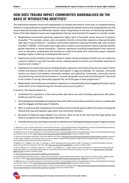## <span id="page-6-0"></span>**HOW DOES TRAUMA IMPACT COMMUNITIES MARGINALISED ON THE BASIS OF INTERSECTING IDENTITIES?**

The relationships between trauma and marginalisation is complex and research on this topic is constantly evolving. However, it is generally well accepted that there are underlying links between trauma and marginalisation and that trauma disproportionately and differently impacts clients marginalised on the basis of intersecting identities.17 Some of the links between trauma and marginalisation that are most important for lawyers to consider include:

- Marginalised communities generally experience higher rates of traumatic events because of systemic inequality.18 For example, women, girls and gender minority communities experience disproportionately high rates of sexual violence;<sup>19</sup> racialised communities experience disproportionately high rates of police brutality;20 LGBTQI+ communities report high rates of violence and harassment related to gender identity, gender expression or sexual orientation.<sup>21</sup> Systemic oppression including marginalisation from resources such as education, employment and housing can undermine family and community support networks leading to higher incidences of developmental trauma.<sup>22</sup>
- Experiences of discrimination have been shown to impact mental and physical health and can undermine a person's ability to cope with traumatic events, making long-term recovery and immediate responses to trauma more complex.<sup>23</sup>
- Experiences of community trauma including systemic oppression and historical trauma can impact clients' mental and physical health as well as their participation in legal proceedings. For example, community trauma can impact trust between community members and authorities. Conversely, community trauma can build strong community ties focused on "survival and growth versus loss and victimisation" and result in the creation of strong community supports that can fill the gaps of state programmes.<sup>24</sup>
- Marginalised communities are more likely to experience re-traumatisation when engaging with justice sector actors which in turn impacts long-term recovery and access to justice.25

In practice, this requires lawyers to:

- Understand the experience of the communities with whom you work including experiences with police, healthcare and the courts;
- $\blacktriangleright$  Acknowledge the knowledge and expertise that exists within communities and strive to work in a collaborative way that engages existing support networks;
- Work to build trust with marginalised communities to overcome the adverse effects of trauma including the distrust that may exist between legal actors and community members;
- Be aware of relational power between you and your client as well as the client and the legal system and strive to recognise and challenge power dynamics; and,
- Critically examine your own biases and seek to understand and challenge stereotypes present in legal processes.

22. <https://www.frontiersin.org/articles/10.3389/fpsyg.2019.00416/full>

25. Fair Trials, Uncovering anti-Roma Discrimination in Criminal Justice Systems in Europe, (2021) [https://www.fairtrials.org/articles/publications/uncovering](https://www.fairtrials.org/articles/publications/uncovering-anti-roma-discrimination-in-criminal-justice-systems-in-europe/)[anti-roma-discrimination-in-criminal-justice-systems-in-europe/](https://www.fairtrials.org/articles/publications/uncovering-anti-roma-discrimination-in-criminal-justice-systems-in-europe/) accessed on 21 March 2022.

<sup>17.</sup> Matheson K. et al, Traumatic Experiences, Perceived Discrimination, and Psychological Distress Among Members of Various Socially Marginalized Groups, Front Psychol. 2019; 10: 416,<https://www.ncbi.nlm.nih.gov/pmc/articles/PMC6403156/>accessed on 20 March 2022.

<sup>18.</sup> Matheson K. et al, Traumatic Experiences, Perceived Discrimination, and Psychological Distress Among Members of Various Socially Marginalized Groups, Front Psychol. 2019; 10: 416,<https://www.ncbi.nlm.nih.gov/pmc/articles/PMC6403156/>accessed on 20 March 2022.

<sup>19.</sup> American Psychological Association, Facts about Women and Trauma,<https://www.apa.org/advocacy/interpersonal-violence/women-trauma>accessed on 21 March 2022. [Research indicates that women are twice as likely to develop PTSD, experience a longer duration of posttraumatic symptoms and display more sensitivity to stimuli that remind them of the trauma.]

<sup>20.</sup> Williams, M. T., Metzger, I. W., Leins, C., & DeLapp, C. (2018). Assessing racial trauma within a DSM–5 framework: The UConn Racial/Ethnic Stress & Trauma Survey. Practice Innovations, 3(4), 242-260.<https://doi.org/10.1037/pri0000076> accessed on 20 March 2022

<sup>21.</sup> See e.g. Balsam, K. F., Huang, B., Fieland, K. C., Simoni, J. M., & Walters, K. L. (2004). Culture, trauma, and wellness: A comparison of heterosexual and lesbian, gay, bisexual, and two-spirit Native Americans. Cultural Diversity and Ethnic Minority Psychology, 10(3), 287-301. [https://doi.org/10.1037/1099-](https://doi.org/10.1037/1099-9809.10.3.287) [9809.10.3.287](https://doi.org/10.1037/1099-9809.10.3.287) accessed on 20 March 2022.

<sup>23.</sup> Shari McDaid and Antonis Kousoulis, 'Tackling social inequalities to reduce mental health problems: How everyone can flourish equally', (Mental Health Foundation, 2020), [https://www.mentalhealth.org.uk/sites/default/files/MHF-tackling-inequalities-report\\_WEB.pdf](https://www.mentalhealth.org.uk/sites/default/files/MHF-tackling-inequalities-report_WEB.pdf) accessed 14 January 2022.

<sup>24.</sup> Matheson K. et al, Traumatic Experiences, Perceived Discrimination, and Psychological Distress Among Members of Various Socially Marginalized Groups, Front Psychol. 2019; 10: 416,<https://www.ncbi.nlm.nih.gov/pmc/articles/PMC6403156/>accessed on 20 March 2022.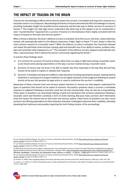## <span id="page-7-0"></span>**THE IMPACT OF TRAUMA ON THE BRAIN**

Trauma has neurobiological effects which directly impact the survivor's immediate and long-term response to a traumatic event or circumstances. Neurobiological theories of trauma dominate the field of knowledge on trauma, providing invaluable insight into possible trauma responses and the best way to deliver services to survivors of trauma.26 This insight can help legal actors understand why what may at first appear to be an unexpected or even "counterintuitive" response from a survivor of trauma is in fact behaviour that is highly consistent with the impact of trauma on the brain and nervous system.<sup>27</sup>

When a threat is detected, the brain's defence circuitry is activated. Once this occurs, the brain, unless otherwise trained, will automatically switch to the defence responses of fight, flight or freeze.<sup>28</sup> In fact, freeze is often the most common reaction to a traumatic event.<sup>29</sup> When the defence circuitry is activated, the chemicals released can impair the prefrontal cortex function causing rapid and dramatic loss of our ability to reason, problem solve, plan and remember what happened to us.<sup>30</sup> The activation of the defence circuitry happens automatically and, often, subconsciously, that is without the person consciously registering the threat.<sup>31</sup>

In practice these findings mean:

- 1. It is common for survivors of trauma to freeze rather than run away or fight back during a traumatic event, so we should avoid placing expectations on the way a survivor reacted during a traumatic event.
- 2. Survivors of trauma may not know or be able to explain why they responded in the way they did and they should not be asked to explain or validate their response.
- 3. Survivors' immediate and long-term ability to make decisions including reporting the assault, seeking medical treatment or reaching out to support networks can be highly impaired so their judgment following an assault should not be put into question by legal actors or used to undermine the survivor's credibility.

Awareness of these common brain and nervous system reactions to trauma can help lawyers understand the types of questions that should not be asked of survivors. Accusatory questions about a survivor's immediate response or judgment following a traumatic event are not only unreasonable, they can also be re-traumatising. These types of questions can exacerbate feelings of guilt and self-blame that survivors experience following a traumatic event and therefore constitute a form of victim blaming. Because many survivors don't themselves know the impact the trauma had on their brain and nervous system, these forms of questions can also corner survivors into offering explanations for their behaviour that when challenged undermine their credibility, ultimately devaluing their testimony and possibly impacting the truth finding mission of the proceedings.

<sup>26.</sup> Lori Haskell and Melanie Randall, The Impact of Trauma on Adult Sexual Assault Victims, (2019) [https://www.justice.gc.ca/eng/rp-pr/jr/trauma/](https://www.justice.gc.ca/eng/rp-pr/jr/trauma/trauma_eng.pdf) [trauma\\_eng.pdf](https://www.justice.gc.ca/eng/rp-pr/jr/trauma/trauma_eng.pdf) accessed on 20 March 2022, p 11.

<sup>27.</sup> Lori Haskell and Melanie Randall, The Impact of Trauma on Adult Sexual Assault Victims, (2019) [https://www.justice.gc.ca/eng/rp-pr/jr/trauma/](https://www.justice.gc.ca/eng/rp-pr/jr/trauma/trauma_eng.pdf) [trauma\\_eng.pdf](https://www.justice.gc.ca/eng/rp-pr/jr/trauma/trauma_eng.pdf) accessed on 20 March 2022, p 8.

<sup>28.</sup> While these are the most common defence responses this is not an exhaustive list. See e.g. Council of Europe, Effectively Investigating Prosecuting and Adjudicating Sexual Violence Cases: A Manual for Practitioners in Georgia, (2021) [https://live-equality-now.pantheonsite.io/wp-content/uploads/2021/11/](https://live-equality-now.pantheonsite.io/wp-content/uploads/2021/11/Effectively_Investigating__Prosecuting_and_Adjudicating_Sexual_Violence_in_Georgia_-_A_Manual_-_English.pdf) [Effectively\\_Investigating\\_\\_Prosecuting\\_and\\_Adjudicating\\_Sexual\\_Violence\\_in\\_Georgia\\_-\\_A\\_Manual\\_-\\_English.pdf](https://live-equality-now.pantheonsite.io/wp-content/uploads/2021/11/Effectively_Investigating__Prosecuting_and_Adjudicating_Sexual_Violence_in_Georgia_-_A_Manual_-_English.pdf) accessed on 21 March 2022, p 57 - 8. 29. Lori Haskell and Melanie Randall, The Impact of Trauma on Adult Sexual Assault Victims, (2019) [https://www.justice.gc.ca/eng/rp-pr/jr/trauma/](https://www.justice.gc.ca/eng/rp-pr/jr/trauma/trauma_eng.pdf) [trauma\\_eng.pdf](https://www.justice.gc.ca/eng/rp-pr/jr/trauma/trauma_eng.pdf) accessed on 20 March 2022, p 13.

<sup>30.</sup> Arnsten, A. (2009). Stress signalling pathways that impair prefrontal cortex structure and function. Nat Rev Neurosci. 2009 June; 10(6): 410–422. 31. Ledoux, J. E., & Pine, D. S. (2016). Using Neuroscience to Help Understand Fear and Anxiety: A Two-System Framework. American Journal of Psychiatry, 173(11), 1083-1093.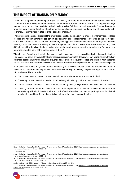## <span id="page-8-0"></span>**THE IMPACT OF TRAUMA ON MEMORY**

Trauma has a significant and complex impact on the way survivors record and remember traumatic events.<sup>32</sup> Trauma impacts the way initial memories of the experience are encoded into the brain's long-term storage mechanism; a process that may take the brain as long as two full sleep cycles to complete.33 Memories created when the body is under threat are often fragmented, poorly contextualised, non-linear and often consist mostly of primary sensory details related to smell, sound or imagery.34

The hormones released as a result of the brain's response to a traumatic event impact the memory consolidation process. The flood of adrenaline can at first help survivors consolidate memories but later, as the brain floods with stress hormones such as cortisol, the memory coding part of the brain becomes temporarily impaired.<sup>35</sup> As a result, survivors of trauma are likely to have strong memories of the onset of a traumatic event and may have difficulty recalling details of the later part of a traumatic event, remembering the experience in fragments and reporting extended parts of the experience as a 'blur'.36

When the brain's coding system is in 'fragmented mode', memories can be consolidated without contextual details. This means that details of the event that are most disturbing or important for the survivor may be registered without any peripheral details including the sequence of events, details of where the event occurred and details of what happened following the event. This may leave survivors of trauma with a narrative of the experience that is muddled and incomplete.<sup>37</sup>

In practice, this means that, while there is no one way for survivors to recall traumatic experiences, there are some commonalities in memory recollection that should be kept in mind by lawyers seeking to work in trauma informed ways. These include:

- Survivors of trauma may not be able to recall the traumatic experience from start to finish;
- They may be able to recall some details quite clearly while being unable entirely to recall other details;
- Survivors may have to rely on sensory memory including smells, imagery and sound to help their recollection;
- ▶ The way survivors are interviewed will have a direct impact on their ability to recall experiences and the consistency with which they tell their story, with effective interview practices supporting the survivor in their recollection, and harmful practices likely resulting in increased inconsistencies.

<sup>32.</sup> Lori Haskell and Melanie Randall, The Impact of Trauma on Adult Sexual Assault Victims, (2019) [https://www.justice.gc.ca/eng/rp-pr/jr/trauma/](https://www.justice.gc.ca/eng/rp-pr/jr/trauma/trauma_eng.pdf) [trauma\\_eng.pdf](https://www.justice.gc.ca/eng/rp-pr/jr/trauma/trauma_eng.pdf) accessed on 20 March 2022, p 23.

<sup>33.</sup> McGaugh 2000

<sup>34.</sup> Lori Haskell and Melanie Randall, The Impact of Trauma on Adult Sexual Assault Victims, (2019) [https://www.justice.gc.ca/eng/rp-pr/jr/trauma/](https://www.justice.gc.ca/eng/rp-pr/jr/trauma/trauma_eng.pdf) [trauma\\_eng.pdf](https://www.justice.gc.ca/eng/rp-pr/jr/trauma/trauma_eng.pdf) accessed on 20 March 2022, p 24.

<sup>35.</sup> Lori Haskell and Melanie Randall, The Impact of Trauma on Adult Sexual Assault Victims, (2019) [https://www.justice.gc.ca/eng/rp-pr/jr/trauma/](https://www.justice.gc.ca/eng/rp-pr/jr/trauma/trauma_eng.pdf) [trauma\\_eng.pdf](https://www.justice.gc.ca/eng/rp-pr/jr/trauma/trauma_eng.pdf) accessed on 20 March 2022, p 23.

<sup>36.</sup> See McGaugh, J. L. (2000). Memory – A Century of Consolidation. Science 287, 248-251.

<sup>37.</sup> Lori Haskell and Melanie Randall, The Impact of Trauma on Adult Sexual Assault Victims, (2019) [https://www.justice.gc.ca/eng/rp-pr/jr/trauma/](https://www.justice.gc.ca/eng/rp-pr/jr/trauma/trauma_eng.pdf) [trauma\\_eng.pdf](https://www.justice.gc.ca/eng/rp-pr/jr/trauma/trauma_eng.pdf) accessed on 20 March 2022, p 25.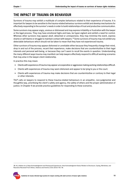## <span id="page-9-0"></span>**THE IMPACT OF TRAUMA ON BEHAVIOUR**

Survivors of trauma may exhibit a multitude of complex behaviours related to their experience of trauma. It is important for lawyers to be sensitive to the trauma-related behaviour survivors exhibit and develop mechanisms for effectively responding to the survivor's needs in order to build relationships of trust and productive communication.

Some survivors may appear angry, anxious or distressed and may express irritability or frustration with the lawyer or the legal process. They may have emotional highs and lows, be hyper-vigilant and exhibit a need for control. Whereas other survivors may appear aloof, detached or unresponsive, they may minimise the event, express shame or self-blame or struggle to maintain contact with lawyers.<sup>38</sup> Some survivors of trauma may not exhibit any detectable behaviours which should not be taken to mean that they have not experienced trauma.

Other survivors of trauma may appear dishonest or unreliable either because they frequently change their mind, drop in and out of the process, recant their experience, make decisions that are counterintuitive to their legal interests and personal well-being, or because they can't seem to recall the events in question. Understanding the many different ways trauma may manifest can help lawyers effectively respond to difficult working scenarios that may arise in the lawyer-client relationship.

In practice this may mean:

- Clients with experience of trauma may appear uncooperative or aggressive making working relationships difficult.
- **EXECUTE:** Clients with experiences of trauma may seem dishonest and appear to be lying to you or the court.
- Clients with experiences of trauma may make decisions that are counterintuitive or contrary to their legal or other interests.

TILP calls on lawyers to respond to these trauma-related behaviours in an empathic, non-judgmental and thoughtful way, prioritising the client's safety and agency, the safety of others and the proper administration of justice. In Chapter 4 we provide practice guidelines for responding to these scenarios.

38. HL Littleton et al, Rape Acknowledgment and Postassault Experiences: How Acknowledgment Status Relates to Disclosure, Coping, Worldview, and Reactions Received From Others, Violence and Victims 21(6) (2010) 761-78.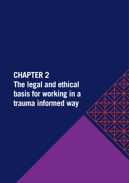<span id="page-10-0"></span>**CHAPTER 2 The legal and ethical basis for working in a trauma informed way**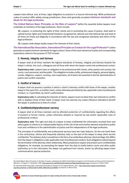Lawyers have ethical, and, at times, legal obligations to practice in a trauma informed way. While professional codes of conduct differ widely among jurisdictions, there exist generally accepted minimum standards and ideals for the legal profession.

The United Nations Basic Principles on the Role of Lawyers<sup>39</sup> define the essential duties lawyers must undertake as members of the legal profession, these include:

14. Lawyers, in protecting the rights of their clients and in promoting the cause of justice, shall seek to uphold human rights and fundamental freedoms recognized by national and international law and shall at all times act freely and diligently in accordance with the law and recognized standards and ethics of the legal profession.

15. Lawyers shall always loyally respect the interests of their clients.

The International Bar Association, International Principles on Conduct for the Legal Profession<sup>40</sup> outline generally accepted minimum standards for legal conduct. Some of the most relevant principles and corresponding explanatory notes for the purpose of TILP include:

#### **2. Honesty, integrity and fairness**

A lawyer shall at all times maintain the highest standards of honesty, integrity and fairness towards the lawyer's clients, the court, colleagues and all those with whom the lawyer comes into professional contact.

Explanatory note: Lawyers have an obligation to be professional with clients, other parties and counsel, the courts, court personnel, and the public. This obligation includes civility, professional integrity, personal dignity, candor, diligence, respect, courtesy, and cooperation, all of which are essential to the fair administration of justice and conflict resolution.

#### **3. Conflict of Interest**

A lawyer shall not assume a position in which a client's interests conflict with those of the lawyer, another lawyer in the same firm, or another client, unless otherwise permitted by law, applicable rules of professional conduct, or, if permitted, by client's authorisation.

Explanatory note: In upholding the interests of clients, lawyers must not allow their own interests to conflict with or displace those of their client. A lawyer must not exercise any undue influence intended to benefit the lawyer in preference to that of a client

#### **4. Confidentiality/professional secrecy**

A lawyer shall at all times maintain and be afforded protection of confidentiality regarding the affairs of present or former clients, unless otherwise allowed or required by law and/or applicable rules of professional conduct.

Explanatory note: The right and duty of a lawyer to keep confidential the information received from and advice given to clients is an indispensable feature of the rule of law and another element essential to public trust and confidence in the administration of justice and the independence of the legal profession.

The principles of confidentiality and professional secrecy have two main features. On the one hand there is the contractual, ethical and frequently statutory duty on the part of the lawyer to keep client secrets confidential. The statutory duty is sometimes in the form of an evidentiary attorney-client privilege; this differs from the lawyer's obligations under applicable rules of professional conduct. Such obligations extend beyond the termination of the attorney-client relationship. Most jurisdictions respect and protect such confidentiality obligations, for example, by exempting the lawyer from the duty to testify before courts and other public authorities as to the information the lawyer has gathered from clients, and/or by affording lawyer-client communications special protection.

40. International Bar Association, International Principles on Conduct for the Legal Profession, 2011, [http://www.ibanet.org/Document/Default.](https://www.ibanet.org/Document/Default?DocumentUid=1730FC33-6D70-4469-%25209B9D-8A12C319468C) [aspx?DocumentUid=1730FC33-6D70-4469- 9B9D-8A12C319468C](https://www.ibanet.org/Document/Default?DocumentUid=1730FC33-6D70-4469-%25209B9D-8A12C319468C) accessed on 21 March 2022.



<sup>39.</sup> United Nations Basic Principles on the Role of Lawyers, adopted by the Eighth United Nations Congress on the Prevention of Crime and the Treatment of Offenders, 27 August to 7 September 1990, [http://www.ohchr.org/EN/ProfessionalInterest/Pages/RoleOfLawyers.aspx](https://www.ohchr.org/en/instruments-mechanisms/instruments/basic-principles-role-lawyers) accessed on 21 March 2022.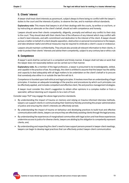#### **5. Clients' interest**

A lawyer shall treat client interests as paramount, subject always to there being no conflict with the lawyer's duties to the court and the interests of justice, to observe the law, and to maintain ethical standards.

Explanatory note: This means that lawyers in all of their dealings with the courts, by written or oral form, or by instructing an advocate on the client's behalf, should act with competence and honesty.

Lawyers should serve their clients competently, diligently, promptly and without any conflict to their duty to the court. They should deal with their clients free of the influence of any interest which may conflict with a client's best interests; and with commitment and dedication to the interest of the client. A lawyer should pursue a matter on behalf of a client despite opposition, obstruction or personal inconvenience to the lawyer, and take whatever lawful and ethical measures may be required to vindicate a client's cause or endeavour.

Lawyers should maintain confidentiality. They should also provide all relevant information to their clients, in order to protect their clients' interests and advise them competently, subject to any contrary law or ethics rule

#### **9. Competence**

A lawyer's work shall be carried out in a competent and timely manner. A lawyer shall not take on work that the lawyer does not reasonably believe can be carried out in that manner.

Explanatory note: As a member of the legal profession, a lawyer is presumed to be knowledgeable, skilled, and capable in the practice of law. Accordingly, the client is entitled to assume that the lawyer has the ability and capacity to deal adequately with all legal matters to be undertaken on the client's behalf or to procure that somebody else either in or outside the law firm will do it.

Competence is founded upon both ethical and legal principles. It involves more than an understanding of legal principles: it involves an adequate knowledge of the practice and procedures by which such principles can be effectively applied, and includes competent and effective client, file and practice-management strategies.

A lawyer must consider the client's suggestion to obtain other opinions in a complex matter or from a specialist, without deeming such requests to be a lack of trust.

Consider ways TILP may engage the above legal practice standards:

- By understanding the impact of trauma on memory and relying on trauma informed interview methods, lawyers can support clients in communicating their testimony thereby promoting the proper administration of justice and ensuring the client's interests are effectively served;
- By understanding the impact of trauma on behaviour and developing practices to build trust and effective communications with clients, lawyers can ensure they are effectively assisting clients through the legal process;
- $\triangleright$  By understanding the experiences of marginalised communities with legal actors and how these experiences undermine access to justice for diverse clients, lawyers are abiding by the obligation to competently represent clients; and,
- By understanding and respecting the client's need to have support persons present in lawyer-client meetings, lawyers can begin to develop legal practices that can effectively protect lawyer-client communication.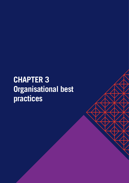# <span id="page-13-0"></span>**CHAPTER 3 Organisational best practices**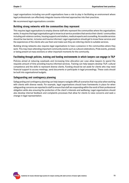Legal organisations including non-profit organisations have a role to play in facilitating an environment where legal professionals can effectively integrate trauma-informed approaches into their practices.

We recommend legal organisations consider:

#### **Building strong networks with the communities they represent**

This requires legal organisations to employ diverse staff who represent the communities where the organisations works. It requires that legal organisations get to know local service providers that service their clients' communities including anti-violence centres, housing supports and shelters, medical experts and counselling. Accessible services should be low-barrier, inclusive and trauma informed. Legal organisations should get to know these services and the experiences of the clients who use them and make sure they are referring clients to suitable services.

Building strong networks also requires legal organisations to have a presence in the communities where they work. This may mean attending important community events such as cultural celebrations, Pride events, protests or being present at mass evictions or other important moments for the community.

#### **Facilitating through policies, training and funding environments in which lawyers can engage in TILP**

Policies aimed at reducing caseloads and increasing time allocation per case allow lawyers to spend the requisite amount of time providing trauma informed services. Training can help lawyers develop TILP, cultural competence and the skills to represent diverse clients. Funding should be set aside for clients who may need financial support to access meetings, send documents or participate in legal proceedings. These costs should be built into organisational budgets.

#### **Safeguarding and contingency planning**

Safeguarding and contingency planning can help lawyers navigate difficult scenarios that may arise when working with clients with diverse needs. For example, legal organisations should have frameworks in place for when safeguarding concerns are reported to staff to ensure that staff are responding within the remit of their professional obligation while also ensuring the protection of the client's interests and wellbeing. Legal organisations should also develop internal feedback and complaints processes that allow for clients to raise concerns and seek a change in legal representation.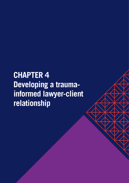<span id="page-15-0"></span>**CHAPTER 4 Developing a traumainformed lawyer-client relationship**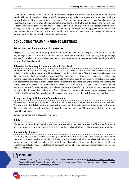<span id="page-16-0"></span>Consultations, meetings and communications between lawyers and clients are often experiences of great emotional impact for survivors. It is essential for lawyers to engage clients in a trauma informed way, striving to always striving to affirm a sense of safety and agency. Practices that centre safety can significantly reduce the likelihood and impact of re-traumatisation. Whereas practices that centre the client's agency can return a small sense of control to the client that was likely lost as a result of the traumatic event. In this chapter we outline ways to integrate safety and agency into your legal practice. It may not be possible to apply all recommendations in your practice, the aim of this section is to turn your mind to some of the proven ways to make legal representation more supportive of clients who have experienced trauma.

## **CONDUCTING TRAUMA INFORMED MEETINGS**

#### **Get to know the client and their circumstances**

Lawyers have an obligation to be prepared for client meetings including knowing the contents of the client's file, the legal issues that arise in the client's case and information about the client's journey through the legal process. For survivors of trauma it is even more important that lawyers show up prepared to meetings to affirm a sense of safety and control.

#### **Determine the best way to communicate with the client**

It is important for lawyers to be thoughtful about the best ways to communicate with clients to ensure that you are actively considering the survivor's specific needs and, in particular, their safety. Clients should always be asked how they want to be reached and their choice respected. You should always check and never presume that emails, phone calls and voicemails are a safe and comfortable option for communicating with your client. You should avoid speaking with clients in the presence of others unless, as set out below, the person is a part of the client's circle of care. You should not share your client's story or details of your client conversations with colleagues unless it is relevant to the progress of the case. This is particularly harmful when the story is shared for humour, entertainment or complaining about the client for example to colleagues or friends. Whenever possible, try to use encrypted messaging systems like Signal or ProtonMail. You may also want to consider sending messages that self-destruct upon reading.

#### **Arrange meetings with the client's needs in mind**

When setting up meetings with clients, consider the client's needs and whether there are barriers to accessibility. The best way to do this is to ask the survivor well in advance of the meeting whether there are any adjustments that need to be put in place to help facilitate a comfortable meeting space. Whenever possible the first meeting should be in person.

Some common barriers to accessibility include:

#### **Safety**

Clients may be worried about coming to a meeting space either because the space itself is unsafe for them or because they may be worried about getting to the location safely and without notifying abusers or authorities.

#### **Accessibility of space**

Clients may not be able to access the meeting space because it does not meet their needs, for example the space may not be accessible for people with limited mobility. Consider whether there is wheelchair access, the number of steps it takes to get to the office, the distance between the entrance and the meeting room. Meeting spaces should also have accessible facilities for diverse communities, for example, gender inclusive washrooms and areas for prayer.

## **RESOURCE**

Consider undertaking an accessibility audit. You can use online tools such as the [Radical Access Mapping Project's](https://radicalaccessiblecommunities.wordpress.com/the-radical-access-mapping-project/radical-access-mapping-project-vancouver/)  [Accessibility Audit Template](https://radicalaccessiblecommunities.wordpress.com/the-radical-access-mapping-project/radical-access-mapping-project-vancouver/) to undertake an audit of your space. Remember that even small adjustments can demonstrate a welcoming space for your clients.

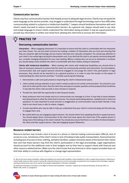#### **Communication barriers**

Clients may face communication barriers that impede access to adequate legal services. Clients may not speak the same language as the service provider, may struggle to understand the legal terminology used or face difficulties communicating related to a physical or intellectual disability.41 Lawyers should familiarise themselves with each client's needs and seek to reduce communication barriers. As a general rule, lawyers should seek to use clear and simple language to ensure clients understand the information being provided. It may be a good practice to provide key information in written and verbal form allowing the client time to process the information.

## **PRACTICE TIP**

#### **Overcoming communication barriers**

Interpreters – When engaging interpreters it is important to ensure that the client is comfortable with the interpreter you have chosen. You can pre-empt concerns by creating a network of interpreters who you trust and ensuring that they are using the right terminology and are trauma informed and culturally competent. You should pay attention to your client's non-verbal signs during the interpretation and, if you feel that the client is not openly communicating with you, consider changing interpreters for your next meeting. Where a relative who can act as an interpreter is involved, you should always check whether the client is comfortable with their relative acting as interpreter.

Clients with intellectual disabilities – When working with clients with intellectual disabilities you should strive to take all necessary measures to ensure that the client can communicate priorities and instructions. Accommodation, communication aids and support persons should be engaged to encourage the client's free participation in legal processes, they should not be resorted to as a general practice or in order to ease the burden on the lawyer of understanding the client and her priorities.<sup>42</sup> Consider practicing the following:

- $\triangleright$  Demonstrate a calm and quiet presence respecting the client's interpersonal space;
- Listen actively and pay attention to your client's verbal as well as non-verbal communication. You should try your best not to interrupt the client. Give the client time and space to answer questions and be prepared that sometimes it may take the client a few seconds or even minutes to respond;
- $\triangleright$  Provide the client with the opportunity to take frequent breaks;
- Keep sentences short and simple and try to communicate one message at a time. It may help to pause between key ideas/phrases to allow the client time to process. You should avoid asking abstract, metaphorical or rhetorical questions. It is also important to avoid sarcasm or exaggeration as communication may be taken literally. It may help to use visual clues or aids (ie videos, images);
- Include specialists who may be able to help you understand how your client is communicating and the best way to engage them; and,
- Be careful when you are engaging support persons. You should refrain from speaking directly to support persons. You should always direct communication to the client and never ignore the client even if the support person is doing most of the talking on the client's behalf. You should also ensure that there is no conflict of interest between the client and their support person. (See also Engaging Support Networks).

#### **Resource-related barriers**

Resource barriers may include a lack of access to a phone or internet making communication difficult; lack of access to a car, remoteness of the client's home or lack of funding to take public transportation; financial barriers including lack of access to food, clothing, sanitation facilities. Lawyers should be aware of the barriers their clients face and how these barriers may limit the client's participation in the legal proceedings. Legal organisations should account for this additional costs in their budgets and try their best to support clients with financial and other resource related barriers. Make sure the client knows that any financial or other support provided does not limit their ability to continue with litigation or change legal representation.

<sup>41.</sup> We use the terms physical disability, intellectual disability and mental health disability in these Guidelines to refer to people whose physical, intellectual or mental health needs are often unmet in society. We understand these terms to be the most widely accepted terms but recognise that terminology is regularly evolving and these terms may not be used by some people marginalised on the basis of disability.

<sup>42</sup> UN General Assembly, Convention on the Rights of Persons with Disabilities : resolution / adopted by the General Assembly, 24 January 2007, A/ RES/61/106, article 12, paragraph 3.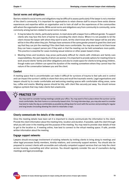#### **Social norms and obligations**

Barriers related to social norms and obligations may be difficult to assess particularly if the lawyer is not a member of the client's community. It is important for organisations to retain diverse staff to ensure there exists diverse experiences and expertise within an organisation and to train all staff on the experiences of the communities with whom the organisation works. While social norms and obligations vary from community to community, some commonly arising barriers related to social norms include:

- $\blacktriangleright$  It may be taboo for clients, particularly women, to meet alone with a lawyer from a different gender. To support clients who may face this form of barrier try providing the client choice. Where it is not possible to let the client choose the lawyer with whom they want to work, let the client know who their lawyer will be and who will be in the office when they join. Perhaps have someone of the same gender present to greet the client and say that they can join the meeting if the client feels more comfortable. You may also want to let them know they can have a support person join if they wish or that the meeting can be held somewhere more public. This practice is essential for cases involving sexual violence or other power-based crimes.
- Meeting times and locations may prove particularly difficult for clients with childcare and family care responsibilities, the vast majority of whom are women. It is important to provide options for meeting times to work around clients' family and other obligations and also to create space for clients to bring along children, though make sure children can spend the duration of the meeting somewhere where they cannot hear the nature of the conversation between you and the client.

#### **Comfort**

A meeting space that is uncomfortable can make it difficult for survivors of trauma to feel safe and in control and can impact the survivor's ability to share their story and recall the traumatic events. Legal organisations and lawyers should try to create comfortable and welcoming meeting spaces with comfortable sitting areas, some tea, coffee and snacks. Meeting spaces should be tidy, with client files securely put away. You should remove religious symbols that may make clients feel unwelcome.

## **PRACTICE TIP**

You may want to consider having meetings outside your office. You may want to find a place where the survivor can be most comfortable, like their home or a community-based clinic. For long interview days, you may also want to consider how best to make the day as comfortable as possible by sitting down for lunch with the survivor and providing for regular and long breaks (including allowing the client to relax/take a nap).

#### **Clearly communicate the details of the meeting**

Once the meeting details have been set it is important to clearly communicate the information to the client. Provide the client information about the meeting time, location and duration. If possible, walk the client through what you will cover in the meeting and the purpose of the meeting. You may need to provide clear details of how to get to the location or, if meeting online, how best to connect to the virtual meeting space. If safe, provide written information about the meeting.

#### **Engage support networks**

Lawyers should encourage involvement of existing networks by inviting clients to bring along to meetings and other legal processes family members, kinship relations, and community support workers. You should also be prepared to connect clients with accessible and culturally competent support services that can help the client access housing, counselling and other services. You should regularly consider the use of counsellors during meetings and legal proceedings.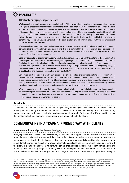## <span id="page-19-0"></span>**PRACTICE TIP**

#### **Effectively engaging support persons**

While engaging support persons is an essential part of TILP, lawyers should be alive to the scenario that a person joining the client at meetings may not be acting in the client's best interest. We recommend you get to know the client and the person who is joining them before starting to discuss the client's case. If you have any doubts about the role of the support person, you should seek to, in the most subtle way possible, create space for the client to speak with you without the support person around. You can let the client know that it is entirely up to them whether they want to have the support person present at meetings and that you will take the lead from them and help them in the most sensitive way possible. If you are worried about the client's safety or wellbeing you should, with the client's consent, connect the client with services.

When engaging support networks it is also important to consider that most jurisdictions have a principle that protects communications between lawyers and their clients. This is a right held by a client to prevent the disclosure of the contents of communications between lawyers and clients in various circumstances – primarily if legal advice is being given, or if litigation is being contemplated.

Legal professional privilege may be waived in a number of circumstances, including if the contents of the communication are divulged to a third party. In these instances, where privilege has been found to have been waived, the parties (including the lawyer, the client or the third party) may be compelled to disclose the contents of the communications. However some jurisdictions have devised exceptions to this general principle of waiver, including that privilege is maintained when there is a 'common interest' in the legal advice or litigation or if the third person is aiding the cause of the litigation and there is an expectation of confidentiality.<sup>43</sup>

Civil law jurisdictions do not generally have the principle of legal professional privilege, but instead, communications between lawyers and clients are covered by a lawyer's duty of professional secrecy, which may include obligations of professional confidentiality and the right to refuse to give testimony or give over documents. The situations where secrecy can be waived can be much more strict than in common law jurisdictions (that is, professional secrecy is difficult to unintentionally waive and in some situations may be impossible to even intentionally waive).

We recommend you get to know the rules of lawyer-client privilege in your jurisdiction and develop approaches for maximising the engagement of support networks while ensuring the client's interest in having lawyer-client communications protected. For example, you may want to ask support persons to step out of the room when providing legal advice or discussing commencing litigation.

#### **Be reliable**

Do your best to stick to the time, date and content you told your client you would cover and apologise if you are running late to a meeting. Remember that, while this may be just another client meeting for you, it is likely a very monumental moment for your client who may have prepared for weeks for the meeting. If you need to change the meeting date, time, location or objectives, provide ample notice to the client.

## **COMMUNICATING IN A TRAUMA INFORMED WAY WITH CLIENTS**

#### **Make an effort to bridge the lawer-client gap**

As legal professionals, lawyers may be viewed by some clients as unapproachable and distant. There may exist power dynamics between the lawyer and client that, while unknown to the lawyer, are apparent to the client and undermine the trust and safety that could be developed between lawyers and clients. Consider how you show up at client meetings and make an effort to appear approachable, relaxed and present yourself on equal footing with the client. This can be done by wearing demure clothing, sitting beside the client rather than behind a desk and reflecting the client's body language. You may also want to be open about what you don't know. You may want to emphasise that the client is the expert and is in charge of the case, you are there to support them through it.

43 See e.g. *State v. Sucharew*, 205 Ariz. 16 (Ct. App. 2003 where a parent, who had paid for legal representation and had an obvious parental and advisory role, was present with a meeting privilege was found not to have been waived. Similarly, when a daughter for an elderly client chose the law firm for her mother, transported her to the meetings, and put her at ease so she could communicate with her lawyers, was present, privilege was found to have not been waived (*Stroh v. Gen. Motors Corp*., 213 A.D.2d 267 (1995). On the other hand, when a daughter was present at a meeting but had no role in conveying information or protecting the mother's interest, privilege was waived (*State v. Shire, 850 S.W.2d 923 (Mo. Ct. App. 1993*).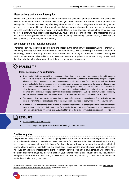#### **Listen actively and without interruptions**

Working with survivors of trauma will often take more time and emotional labour than working with clients who have not experienced trauma. Survivors may take longer to recall events or may need time to process their feelings. Part of the process of working effectively with survivors of trauma is being there to listen for long periods of time. It can be harmful to look at your watch or cell phone, appear disinterested, cut meetings short or try to move the client along before she is ready. It is important lawyers build additional time into their schedules to be there for clients who have experienced trauma. If you have to end a meeting emphasise the importance of what the survivor is saying and be honest about the reason for ending the meeting. Let them know you will be able to pick up where you left off at your next meeting.

#### **Use appropriate and inclusive language**

The terminology you use should be up-to-date and chosen by the community you represent. Some terms that are commonly used may be considered offensive for some communities. The best way to get to know the appropriate terminology to use is to develop relationships of trust with the community you represent. However, you may also want to research commonly used terms and make sure they are appropriate. In some cases it may be best to ask the client whether a term is appropriate or if there is a better term you can use.

## **PRACTICE TIP**

#### **Inclusive language considerations**

- $\triangleright$  It is essential that lawyers working in languages where there exist gendered pronouns use the right pronouns for clients. Lawyers should not presume their client's pronouns. Purposefully or negligently mis-gendering and mis-naming clients can amount to discriminatory conduct and is always harmful for the client's wellbeing. Instead of asking clients for their pronouns and name consider sharing your own pronouns and the name by which you want to be referred. This indicates to the client that it is a safe space for them to share their pronouns and name. If a client does share their pronouns and name it is essential that this information is not disclosed to anyone without the client's express consent. Outing a person who identifies as a member of the LGBTQI+ community is discriminatory, harmful and can have serious consequences for the person's wellbeing including their physical safety.
- Transgender clients may use terms unfamiliar to you to refer to their anatomical parts. Take the lead from your client in referring to anatomical parts and, if unsure, describe the need to clarify what they mean by the term.
- You may want to consider the terms you use to refer to homes/community spaces/protests or other environments important to your client and their community. For example, the term 'settlement' to refer to the communities where Roma clients live may be offensive to some, you should try to use the terms communities or neighbourhoods instead.<sup>44</sup>

### **RESOURCE**

- [Stonewall glossary of terminology](https://www.stonewall.org.uk/sites/default/files/setting_up_lgbt_011.pdf)
- [Council of Europe Descriptive Glossary of terms relating to Roma issues](a.cs.coe.int/team20/cahrom/documents/Glossary%20Roma%20EN%20version%2018%20May%202012.pdf) (2012)

#### **Practise empathy**

Lawyers should recognise their role as a key support person in the client's care circle. While lawyers are not trained to provide emotional support and should make their best effort to connect the client with services, there may also be a need for lawyers to be a listening ear for clients. Lawyers should be prepared to empathise with their clients, allowing space for clients to vent and speak about the impact the traumatic event has had on their lives. While you can and should recognise the client's feelings you should refrain from saying that you understand what the client has been through. You may want to share your experience of a similar situation but you should always recognise that this does not mean that you fully understand how they are feeling – the client's experience, no matter how similar, is only their own.

44. Adam Wiess, Stop calling places where Roma live "settlements", European Roma Rights Centre (2017) European Roma Rights Centre, [http://www.errc.](http://www.errc.org/news/stop-calling-places-where-roma-live-settlements) [org/news/stop-calling-places-where-roma-live-settlements](http://www.errc.org/news/stop-calling-places-where-roma-live-settlements) accessed on 21 March 2022.

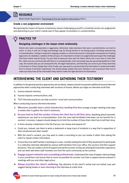### <span id="page-21-0"></span>**RESOURCE**

World Health Organisation, [Psychological first aid: Guide for field workers](https://www.who.int/publications/i/item/9789241548205) (2011)

#### **Create a non-judgmental environment**

Recognising the impact of trauma on behaviour means challenging yourself to constantly remain non-judgmental and welcoming to your client's needs even if they appear inconsistent or counterintuitive.

## **PRACTICE TIP**

#### **Navigating challenges in the lawyer-client relationship**

Clients who seem uncooperative or aggressive; dishonest; make decisions that seem counterintuitive; are hard to reach; or drop in and out of legal proceedings may be facing barriers to accessing justice including experiencing re-traumatisation, having to respond to ongoing complex or community trauma or fearing the consequences of taking legal action (ie retaliation, violation of their privacy). It is important to remain non-judgmental and respect the challenges that these clients may be facing. Try your best to keep your door open for these clients and, if you have to close their file, make sure you communicate with them in a compassionate, clear and simple way any upcoming deadlines in their case, the reasons why you are closing their file, the legal implications, and that they can come to you if they need help in the future or if they change their mind. If safe, you may want to communicate this information in verbal and written form to ensure it has been understood. You should always explain that your intention is not to pressure them but to make sure they have all the information they need to make the right decisions for themselves.

## **INTERVIEWING THE CLIENT AND GATHERING THEIR TESTIMONY**

In addition to the general practice approaches set out above, lawyers should incorporate additional trauma informed approaches when conducting interviews with survivors of trauma. Before you begin an interview recall that:

- 1. trauma impacts memory;
- 2. trauma impacts communication; and,
- 3. TILP interview practices can help survivors' recall and communication.

When conducting trauma informed interviews:

- 1. Whenever possible have a short introductory meeting first then arrange a longer meeting a few days or weeks later to gather the client's testimony.
- 2. Do your best to limit the number of times the client has to tell their story. Speaking about traumatic experiences can lead to re-traumatisation. Even the most well facilitated interviews can be harmful for a survivor's recovery. Lawyers should always try to limit the number of times their client has to tell their story.
- Is there already a statement in the file that you can review and expand on?
- Could you, instead, ask them to write a statement or keep track of incidents in a way that is supportive of their emotional and other needs?
- With the client's consent, you may want to make a recording so you can review it rather than asking the client to repeat certain information.
- If more than one staff member is working on a case, consider asking the client if they would want to participate in a collective interview attended by various staff members from your office, the survivor and their support person(s). This can create a circle of support around the survivor as they are reliving the traumatic experience and can work well when staff members are from the same community as the survivor.
- 3. Engage support networks and counselling professionals. Understand the rules of lawyer-client privilege in your jurisdiction and ensure that as much as possible the survivor can have a support person present in meetings with you and other legal actors.
- 4. Always prioritise the client's wellbeing. Pay attention to the client's verbal and non-verbal cues and suggest taking breaks or even returning to the interview at a later time.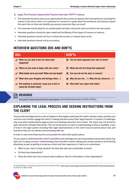- <span id="page-22-0"></span>5. Apply The Forensic Experiential Trauma Interview (FETI)**45** method:
- $\blacktriangleright$  The interview should be seen as an opportunity for the survivor to express their full experience including the impact it has had on them. It is important for survivors to speak about the emotional and physical impact the event had on them and identify any sensory memories they can recall.
- ▶ The interview should allow for an uninterrupted narrative, led by the client and told in her own words;
- $\blacktriangleright$  Interview questions should be open ended and facilitating of the impact of trauma on memory.
- Interview questions should not try to confuse the survivor or impose linear recall.
- Interview questions should not be accusatory.

### **INTERVIEW QUESTIONS DOS AND DON'TS**

| <b>DO<sub>S</sub></b>                                                                     | <b>DON'TS</b>                                                     |
|-------------------------------------------------------------------------------------------|-------------------------------------------------------------------|
| $\sqrt{\phantom{a}}$ What are you able to tell me about what<br>happened?                 | $\boldsymbol{\times}$ Tell me what happened from start to finish? |
| $\checkmark$ Where do you want to begin with your story?                                  | $\boldsymbol{\times}$ What was the first thing that happened?     |
| $\blacktriangleright$ What stands out to you most? What can't you forget?                 | $\times$ Can you tell me the story in reverse?                    |
| What were your thoughts and feelings when?<br>$\checkmark$                                | $\boldsymbol{\times}$ Why did you not ? / Why did you choose to ? |
| $\checkmark$ Did anything in particular cause you to tell us<br>about the incident today? | $\boldsymbol{\times}$ Why didn't you report until today?          |

#### **RESOURCE**

[Successful Trauma Informed Victim Interviewing,](https://www.theiacp.org/sites/default/files/2020-06/Final%20Design%20Successful%20Trauma%20Informed%20Victim%20Interviewing.pdf) International Association of Chiefs of Police.

## **EXPLAINING THE LEGAL PROCESS AND SEEKING INSTRUCTIONS FROM THE CLIENT**

Trauma informed legal practice calls on lawyers to thoroughly understand the client's diverse needs, priorities and concerns and actively engage the client in making decisions about their legal interests. A number of challenges may arise when explaining the legal process and seeking instruction from clients. The client may not at first be open about the remedies they desire. This can be because of a lack of understanding of what is available, a lack of trust in the legal system including their legal representatives or the client may be worried about risks and outcomes they are not openly communicating with you.

In order to overcome these barriers and provide the client with quality advice:

Try your best to understand the client's priorities and challenge your own presumptions about what clients may want out of a given process. Understanding client priorities involves asking open-ended questions and listening attentively as well as getting to know your client and their experience. If safe try to understand:

- What is your client's living situation? Do they feel safe and comfortable at home?
- ▶ Do they have dependents?
- Does the client have any concerns about safety or risks for themselves or their dependents?

45. Russell W Strand, The Forensic Experiential Trauma Interview (FETI),<https://www.mncasa.org/wp-content/uploads/2018/07/FETI-Public-Description.pdf> accessed on 21 March 2022.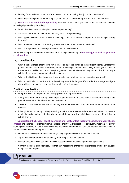- Do they face any financial barriers? Are they worried about losing their job or income stream?
- $\blacktriangleright$  Have they had experience with the legal system and, if so, how do they feel about that experience?

Try to undertake research before providing advice on all available legal avenues and consider all elements of the legal proceedings including:

- Would the client have standing in a particular proceeding?
- Are there any admissibility barriers that may arise in the proceeding?
- What type of evidence would the client have to give and how would this impact their wellbeing or privacy interests?
- What remedies does each proceeding provide and what remedies are not available?
- What is the process for ensuring implementation of the decision?

When discussing the likelihood of success for each legal avenue try to outline legal as well as practical considerations.

#### **Legal considerations:**

- What is the likelihood that you will win the case and get the remedies the applicant wants? Consider the judicial bodies' track record in ordering certain remedies; legal and admissibility hurdles you will have to overcome and the likelihood of success; the type of evidence that needs to be given and the difficulties you will face in securing or communicating the evidence.
- What is the likelihood that the case will be appealed and what are the success rates on appeal?
- What is the likelihood that the authorities will implement the judgment? Consider the steps you and your client will need to take to ensure implementation of the judgment.

#### **Practical considerations:**

- **EXECUTE:** Length and cost of the process including appeals and implementation;
- Safety considerations including the safety of dependents and, for some clients, consider the safety of any pets with which the client holds a close relationship;
- Stress and other emotional impact including re-traumatisation or disappointment in the outcome of the process;
- Privacy interests including challenges arising from the rules of evidence (ie cross examination, disclosure of medical reports) and any potential adverse social stigma, negative publicity or harassment if the litigation is high profile.

Try to understand the broader social, economic and legal context that may be impacting your client's choices and experiences to target recommendations effectively. This practice is particularly important for lawyers working with survivors of gender-based violence, racialised communities, LGBTQI+ clients and clients who are criminalised or without immigration status.

- Understand the ways marginalisation may legally or practically limit your client's choice.
- Try to find ways around the limitations by prioritising safety and agency.
- Provide practical advice outlining the risks associated with choosing a particular legal avenue.
- Connect the client to support services that may meet some of their needs alongside or in lieu of a justice or legal system response.

#### **RESOURCE**

[Equality and non-discrimination in Russia: Best Practice Guide for Lawyers, Equal Rights Trust](https://www.equalrightstrust.org/ertdocumentbank/lawyer%20guide_ENG_e-version.pdf) (2017)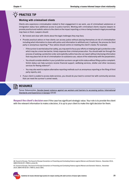## **PRACTICE TIP**

#### **Working with criminalised clients**

Clients who experience criminalisation related to their engagement in sex work, use of criminalised substances or immigration status face additional access to justice barriers. Working with criminalised clients requires lawyers to provide practical and realistic advice to the client on the impact reporting a crime or being involved in legal proceedings may have on them. Lawyers should:

- $\triangleright$  Be honest and clear with clients about the legal challenges they may face;
- Provide practical advice on how clients can access justice without placing themselves at risk of criminalisation including what information to share with police and information to withhold and, if optional, the process for third party or anonymous reporting.<sup>46</sup> Your advice should centre on meeting the client's needs. For example:
	- If the survivor is worried about her safety, you may want to focus your efforts on helping her get a protection order which may be a more low barrier, timely response than criminal prosecution. You should walk her through the process of seeking a protection order and explicitly outline how she can report without disclosing information that may place her at risk of criminalisation (ie substance use, nature of the relationship with the perpetrator);
	- You should consider whether in your jurisdiction survivors can get victim status without filing a police complaint. Victim status can help survivors receive financial support, wellbeing services, shelter and other necessary services for fleeing violence<sup>47</sup>;
	- You may also want to explore alternative reporting methods such as anonymous reporting or the filing of third party reports; and,
- If your client is unable to access state services, you should do your best to connect her with community services that can meet the survivor's unmet needs.

## **RESOURCE**

Tamar Dekanosidze[, Gender-based violence against sex workers and barriers to accessing justice: International](https://osgf.ge/wp-json/wi/validate/v1/file?wifile=wp-content/uploads/2018/07/eng.pdf) [Standards and Experience in Georgia](https://osgf.ge/wp-json/wi/validate/v1/file?wifile=wp-content/uploads/2018/07/eng.pdf) (2018)

Respect the client's decision even if the case has significant strategic value. Your role is to provide the client with the relevant information to make a decision, it is up to your client to make the right decision for them.

<sup>46.</sup> Council of Europe, The Council of Europe Convention on Preventing and Combating Violence against Women and Domestic Violence , November 2014, ISBN 978-92-871-7990-6, article 55.

<sup>47.</sup> Council of Europe, The Council of Europe Convention on Preventing and Combating Violence against Women and Domestic Violence , November 2014, ISBN 978-92-871-7990-6, article 18(4).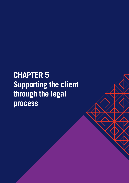## <span id="page-25-0"></span>**CHAPTER 5 Supporting the client through the legal process**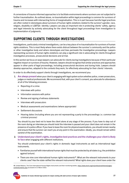<span id="page-26-0"></span>A cornerstone of trauma informed approaches is to facilitate environments where survivors are not subjected to further traumatisation. As outlined above, re-traumatisation within legal proceedings is common for survivors of trauma and increases with intersecting forms of marginalisation. This is in part because harmful legal practices are often rooted in stereotypes about survivors of human rights violations related to the survivor's gender, race, religion, disability or LGBTQI+ identity. Lawyers can play an important role in protecting clients' safety, agency and legal interests by actively advocating for the client throughout legal proceedings from investigation to implementation of judgments.

## **SUPPORTING CLIENTS THROUGH INVESTIGATIONS**

Investigations, particularly criminal investigations, can be a key place of re-traumatisation for survivors of human rights violations. This is most likely where there exists distrust between the survivor's community and the police or other investigative body and where stereotypes and bias permeate the investigative proceedings. Lawyers representing survivors of human rights violations can play a significant role in advocating for clients throughout investigative processes, prosecutorial decisions and at trial.

In this section we focus on ways lawyers can advocate for clients during investigations because of their particular negative impact on survivors of trauma. However, lawyers should recognise that similar practices and approaches appear in other parts of legal proceedings, including prosecutorial decisions and during trials. Lawyers should develop approaches, adapted to the contexts they work, for effectively advocating for their clients' interests.

In order to do effectively support clients through investigations, we recommend you:

- 1. Are always present when your client is engaging with legal system actors whether police, crown prosecutors, judges or medical professionals. We recommend that, with your client's consent, you advocate for attendance at all of the following processes:
	- $\triangleright$  Reporting of a crime
	- $\triangleright$  Interviews with police
	- $\triangleright$  Information sessions with police
	- ▶ Review and signing of witness statements
	- Interviews with prosecutors
	- Medical assessments and examinations (where appropriate)
	- Settlement discussions
	- Hearing dates (including where you are not representing a party to the proceedings i.e. common law criminal process)

You should try your best not to leave the client alone at any stage of the process. If you have to step out of the room during an interview you should insist the interview is paused and your client does not remain in the presence of a police officer. If you have to leave the room for physical examinations, you should remain nearby and ensure that the survivor can reach you at any point in the examination. Ideally, you should remain within earshot of the examination.

2. Understand your client's rights, investigative best practices and the challenges your client is likely to face when engaging with different institutions.

You should understand your client's rights in domestic legal instruments as well as international legal instruments.

- $\triangleright$  Familiarise yourself with international human rights that must be protected by all states (e.g. the prohibition against torture).
- ▶ There are nine core international human rights instruments<sup>48</sup>. What are the relevant instruments to your clients case? Has the state ratified the relevant instruments? What rights does your client have under the

<sup>48.</sup> United Nations, The Core International Human Rights Instruments and their monitoring bodies, [https://www.ohchr.org/en/professionalinterest/pages/](https://www.ohchr.org/en/professionalinterest/pages/coreinstruments.aspx) [coreinstruments.aspx](https://www.ohchr.org/en/professionalinterest/pages/coreinstruments.aspx) accessed on 21 March 2022.

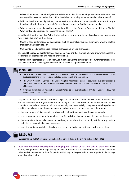relevant instruments? What obligations do state authorities have? What general comments have been developed by oversight bodies that outline the obligations arising under human rights instruments?

- Which of the nine human rights treaty bodies has the state where you work agreed to provide authority to for adjudicating individual complaints? (see optional protocol ratification for each treaty)
- What regional instruments has the state party ratified (ie the European Convention of Human Rights)? What rights and obligations do these instruments confer?

In addition to knowing your client's legal rights as they arise in legal instruments and case law you may also want to consider whether there exist:

- Codes of conduct for registered occupations such as psychologists, nurse examiners, lawyers, doctors, mediators/negotiators etc.; or,
- Complaint procedures for police, medical professionals or legal professions.

You should be prepared to refer to these documents requiring that they are followed and, where necessary, file complaints against legal and medical professionals.

Where domestic standards are insufficient, you might also want to familiarise yourself with international best practices in order to encourage domestic actors to follow best practice standards.

## **RESOURCE**

- The [International Association of Chiefs of Police](https://www.theiacp.org/resources) contains a repository of resources on investigative and policing best practices for a variety of crimes including sexual assault and hate crimes.
- The [Crown Prosecution Service of the United Kingdom h](https://www.cps.gov.uk/prosecution-guidance)as made its guidance documents publically accessible. The Prosecution Guidance outlines best practices on a variety of issues that may arise when working with victims of trauma.
- American Psychological Association, [Ethical Principles of Psychologists and Code of Conduct](https://www.apa.org/ethics/code) (2003 with amendments in 2010 and 2017)

Lawyers should try to understand the access to justice barriers the communities with whom they work face. The best way to do this is to get to know the community and participate in community activities. You can also understand more about the community's experience by reading reports by non-governmental organisations or asking your clients about their experience. In particular, we recommend you consider whether:

- there are reports of discrimination or violence by authorities against a particular community;
- crimes reported by community members are effectively investigated, prosecuted and implemented;
- $\triangleright$  there are stereotypes, misconceptions and prejudices about the community within society that are reflected in the conduct of legal actors; or,
- reporting a crime would place the client at a risk of criminalisation or violence by the authorities.

### **RESOURCE**

European Roma Rights Centre and Fair Trials, [Justice Denied: Roma in the criminal justice system](www.errc.org/uploads/upload_en/file/5357_file1_justice-denied-roma-in-the-criminal-justice-system.pdf) (2021)

3. Intervene whenever investigators are relying on harmful or re-traumatising practices. While investigative practices differ significantly between jurisdictions and based on the victim and the crime, below we list some common harmful practices that require lawyers to intervene to protect clients' legal interests and wellbeing.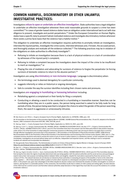## <span id="page-28-0"></span>**COMMON HARMFUL, DISCRIMINATORY OR OTHER UNLAWFUL INVESTIGATIVE PRACTICES:**

Investigators refuse to open or undertake an effective investigation. State authorities have a legal obligation to undertake an effective investigation whenever there exist reasonable grounds to suspect a crime has been committed.49 In cases of gender-based violence states have an obligation under international law to act with due diligence to prevent, investigate and punish perpetrators.50 Under the European Convention on Human Rights, states have a specific duty to prevent hatred-motivated violence and investigate discriminatory motives whenever there exists a prima facie basis that the violence had a hateful motive.<sup>51</sup>

The obligation to undertake an effective investigation requires authorities to promptly initiate an investigation, interview the injured parties, investigate the crime scene, interview witnesses and, if known, the accused person, and thoroughly analyse and evaluate all the evidence collected.<sup>52</sup> The following practices may be in violation of the obligations on state authorities to effectively investigate<sup>53</sup>:

- Refusing to initiate an investigation because there is a lack of physical evidence or a lack of corroboration by witnesses of the injured party's complaint;
- Refusing to initiate a complaint because the investigators deem the impact of the crime to be insufficient to merit an investigation;<sup>54</sup> or
- Playing the role of mediators and advocating for survivors of violence to forgive the perpetrator (ie forcing survivors of domestic violence to return to the abusive partner).<sup>55</sup>

Investigators are using discriminatory or non-inclusive language. Language is discriminatory when:

- $\triangleright$  the terminology used is deemed derogatory for a particular community;
- suggests inferiority or relies on historical or ongoing stereotypes;
- fails to consider the way the survivor identifies including their chosen name and pronouns.

Investigators are engaging in humiliating or harassing behaviour including:

- Retaliating against a complainant or their family for filing a complaint;
- Conducting or allowing a search to be conducted in a humiliating or insensitive manner. Searches can be humiliating when they are in a public space, the person being searched is asked to be fully nude for long periods of time, the person being searched is not given the choice to select the gender of the person searching them, the search is aggressive or unnecessarily intrusive;

<sup>49.</sup> See *Assenov and Others v. Bulgaria*, European Court of Human Rights, Application no. 24760/94, 1998, para. 102.

<sup>50.</sup> N Committee on the Elimination of Discrimination Against Women (CEDAW), CEDAW General Recommendations Nos. 19 and 20, adopted at the Eleventh Session, 1992 (contained in Document A/47/38), 1992, A/47/38, para 9.

<sup>51.</sup> See e,g, Sabali v. Croatia, European Court of Human Rights, Application no. 50231/13, 2021, para 105.

<sup>52.</sup> See e.g. *X and Y v. Georgia*, Communication No. 24/2009, UN Doc. CEDAW/C/61/D/24/2009 (2015); see also *V.P.P. v. Bulgaria*, Communication No. 31/2011, UN Doc. CEDAW/C/53/D/31/2011 (2012), para 9.5 [The Committee finds that in the present case the State party failed to take positive measures under article 2 (b) of the Convention to adopt adequate criminal law provisions to effectively punish rape and sexual violence and apply them in practice through effective investigation and prosecution of the perpetrator.]; UN Committee on the Elimination of Racial Discrimination (CERD), CERD General Recommendation XXXI on the Prevention of Racial Discrimination in the Administration and Functioning of the Criminal Justice System, 2005, para 11. [The competent services should be instructed to receive the victims of acts of racism in police stations in a satisfactory manner, so that complaints are recorded immediately, investigations are pursued without delay and in an effective, independent and impartial manner, and files relating to racist or xenophobic incidents are retained and incorporated into databases.]

<sup>53.</sup> See generally Tamar Dekanosidze, The Administration of Justice on Crimes of Sexual Violence Against Women in Georgia, Council of Europe (2020) <https://rm.coe.int/sexual-violence-research-eng/1680a17b78> accessed on 21 March 2022.

<sup>54.</sup> See *V.K. v. Bulgaria*, Communication No. 20/2008, UN Doc. CEDAW/C/49/D/20/2008 (2011); See also *Isatou Jallow v. Bulgaria*, Communication No. 32/2011, UN Doc. CEDAW/C/52/D/32/2011 (2012).

<sup>55.</sup> See e.g. *Angela González Carreño v. Spain*, Communication No 47/2012, UN Doc. CEDAW/C/58/D/47/2012, (2014) para 9.4 [The Committee observes that during the time when the regime of judicially determined visits was being applied, both the judicial authorities and the social services and psychological experts had as their main purpose normalizing relations between father and daughter, despite the reservations expressed by those two services on the conduct of F.R.C. The relevant decisions do not disclose an interest by those authorities in evaluating all aspects of the benefits or harms to the child of the regime applied. […] All of these elements reflect a pattern of action which responds to a stereotyped conception of visiting rights based on formal equality which, in the present case, gave clear advantages to the father despite his abusive conduct and minimized the situation of mother and daughter as victims of violence, placing them in a vulnerable position. In this connection, the Committee recalls that in matters of child custody and visiting rights, the best interests of the child must be a central concern and that when national authorities adopt decisions in that regard they must take into account the existence of a context of domestic violence.]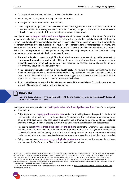- Forcing detainees to shave their head or make other bodily alterations:
- $\triangleright$  Prohibiting the use of gender-affirming items and treatment:
- Forcing detainees to undertake STI examinations,
- Asking inappropriate questions about a survivor's sexual history, personal life or life choices. Inappropriate questions could include asking a survivor about their anatomy, surgical procedures or sexual behaviour unless it is necessary to establish the elements of the crime that occurred.

Investigators are relying on myths and stereotypes when interviewing survivors. The types of myths that permeate investigations are multiple and varied depending on the type of crime, jurisdiction and identities of the survivor. Gendered myths and stereotypes have been recognised as harmful, discriminatory and a barrier to the proper administration of justice. Judicial bodies have recognised that gender-based stereotypes are unlawful and have noted the importance of actively dismissing stereotypes.<sup>56</sup> Lawyers should become familiar with commonly held myths and be prepared to challenge them as they arise in investigative processes. Consider the following commonly occurring myths that arise in sexual assault cases:

- The survivor implied consent through flirtatious behaviour, dress or agreeing to go to the perpetrator's house/agreed to previous sexual activity. This myth engages in victim blaming and imposes gendered expectations on how survivors should behave. It also assumes that someone cannot change their mind or feel differently about different sexual activities.
- A 'real' survivor of sexual assault would have fought back. This myth is grounded in misinformation and a lack of knowledge of how trauma impacts the brain. It implies that all survivors of sexual assault react the same and relies on the 'ideal victim' narrative which suggests that survivors of sexual violence have to appear, act and respond in a socially-acceptable way to be believed.
- A survivor that is unable to describe the details or sequence of the assault is lying. This myth is also grounded in a lack of knowledge of how trauma impacts memory.

#### **RESOURCE**

[Rape and Sexual Offences – Annex A: Tackling Rape Myths and Stereotypes,](https://www.cps.gov.uk/legal-guidance/rape-and-sexual-offences-annex-tackling-rape-myths-and-stereotypes) Legal Guidance Sexual Offences, UK Crown Prosecutors Service (2021)

Investigators are asking survivors to participate in harmful investigative practices. Harmful investigative practices include:

- Subjecting survivors to polygraph examinations or other "truth telling devices". Polygraphs or lie detector tests are intimidating and can cause re-traumatisation. These investigative methods contribute to a survivors' concerns that legal actors may not believe their experience of trauma. In many jurisdictions, legislation prohibits investigators from requesting survivors of sexual abuse to participate in a lie detector test.<sup>57</sup>
- Requesting that survivors attend the scene of the crime to demonstrate where the incident occurred or taking photos pointing to where the incident occurred. This practice can be highly re-traumatising for survivors of trauma and should only be used in the most exceptional of circumstances where specialised medical expert advice has been sought and adequate supports are engaged throughout the crime scene visit.
- Being subjected to an unnecessary psychological examination or forensic medical examination following a sexual assault. (See Supporting Clients through Medical Examinations)

57. See e.g. National Sexual Violence Resource Centre, Legislation Regulating Polygraph Use, <https://www.nsvrc.org/legislation-regulating-polygraph-use> accessed on 21 March 2022.

<sup>56.</sup> See e.g. *R.P.B. v Philippines*, Communication No. 34/2011, UN Doc. CEDAW/C/57/D/34/2011 (2014) where the CEDAW Committee affirmed that myths and stereotypes in judicial proceedings affect survivors' right to a fair trial and called on the state to ensure all sexual assault criminal proceedings are free from gendered stereotypes; see also *Konstantin Markin v. Russia*, App. No. 30078/06 (ECtHR, 22 March 2012), para 142-143; *Karen Tayag Vertido v. the Philippines*, Communication No. 18/2008, UN Doc. CEDAW/C/46/D/18/2008 (2010) [In this regard, the Committee stresses that there should be no assumption in law or in practice that a woman gives her consent because she has not physically resisted the unwanted sexual conduct, regardless of whether the perpetrator threatened to use or used physical violence.]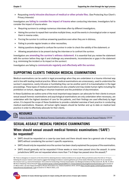<span id="page-30-0"></span> Requesting overly intrusive disclosure of medical or other private files. (See Protecting Your Client's Privacy Interests)

Investigators are failing to consider the impact of trauma when conducting interviews. Investigators fail to consider the impact of trauma when:

- Requiring survivors to undergo numerous interviews often by different investigators;
- Asking the survivor to repeat their narrative multiple times, recall the events in chronological order or repeat them in reverse order;
- Forcing the survivor to continue answering questions even when they are in distress;
- Failing to provide regular breaks or other necessities;
- Asking questions designed to confuse the survivor in order to check the validity of the statement; or
- Allowing perpetrators to be present during the interview or to confront the survivor.

Investigators are amending the survivor's witness statement. It is essential that you review the statement with the survivor before they sign it and challenge any amendments, inconsistencies or gaps in the statement (e.g. minimising the incident or its impact on the survivor).

Investigators are failing to communicate regularly and effectively with the survivor.

## **SUPPORTING CLIENTS THROUGH MEDICAL EXAMINATIONS**

Medical examinations can be useful in legal proceedings when they are undertaken in a trauma informed way and in line with leading medical practice. Where medical examinations are unnecessary, used to undermine the survivor's experience, overly intrusive or humiliating they can be another point of re-traumatisation in the legal proceedings. These types of medical examinations are also unlawful and may violate human rights including the prohibition on torture, degrading or inhuman treatment and the prohibition of discrimination.

In these Guidelines we outline some of the most important ways lawyers can advocate for their clients to ensure sexual assault forensic examinations and psychological examinations are only undertaken when necessary, are undertaken with the highest standard of care for the patients, and their findings are used effectively by legal actors. It is beyond the scope of these Guidelines to provide a detailed overview of best practice in conducting medical examinations. However, all human rights lawyers should be familiar and up to date on medical best practice in order to effectively advocate for their clients.

#### **RESOURCE**

[Indiana Guidelines for the Medical Forensic Examination of Adult and Adolescent Sexual Assault Patients](https://icesaht.org/wp-content/uploads/2019/08/IndianaForensicsGuidelinesE-7.pdf) (2019)

## **SEXUAL ASSAULT MEDICAL FORENSIC EXAMINATIONS**

## **When should sexual assault medical forensic examinations ('SAFE') be requested?**

- $\triangleright$  SAFE should be requested on a case-by-case basis and there should never be a general rule of requiring SAFE without considering the survivor's specific experience;
- $\triangleright$  SAFE should only be requested once the survivor has been clearly explained the purpose of the examination;
- SAFE should generally not be requested if three weeks or more have passed since the assault. In some jurisdictions SAFE are not requested where more than 7 to 9 days has passed since the assault;<sup>58</sup>

<sup>58.</sup> There is divergence in research on the time limit for obtaining forensic medical evidence of an assault. Many jurisdictions place the limit on 72 hours following the assault, however some experts suggest that biological evidence could be gathered up to three weeks following an assault. For an overview of the research see e.g. Joanne Archambault, Time Limits for Conducting a Forensic Examination: Can Biological Evidence be Recovered 24, 36, 48, 72, 84 or 96 Hours Following a Sexual Assault?<https://evawintl.org/wp-content/uploads/SAR10-3-1TimeLimitsforConductingaForensicExamination.pdf> accessed on 21 March 2021; see also Indiana Emergency Nurses Association et al, Indiana Guidelines 2019, (2019) [https://icesaht.org/wp-content/uploads/2019/08/](https://icesaht.org/wp-content/uploads/2019/08/IndianaForensicsGuidelinesE-7.pdf) [IndianaForensicsGuidelinesE-7.pdf](https://icesaht.org/wp-content/uploads/2019/08/IndianaForensicsGuidelinesE-7.pdf) accessed on 21 March 2022, p 23.

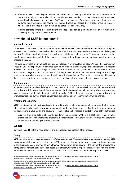- Where the main issue in dispute between the parties to a proceeding is whether the survivor consented to the sexual activity and the survivor did not complain of pain, bleeding, burning, or tenderness or make any suggestion that physical force was used, SAFE may be unnecessary. You should try to understand the exact evidence the investigators are hoping to collect and reference medical best practice manuals to assess whether this is evidence that can in fact be collected through SAFE; and,
- In some contexts, where there is sufficient evidence to support all elements of the crime, it may not be necessary to subject the survivor to SAFE.

## **How should SAFE be conducted?**

#### **Informed consent**

The survivor should never be forced to undertake a SAFE and should not be threatened or coerced by investigators or lawyers. Survivors should be explained the purpose of each examination procedure in clear and simple language and be offered the opportunity to provide ongoing consent during each procedure.59 Informed consent requires investigators to explain clearly that the survivor has the right to withhold consent and is not legally required to undertake a SAFE.

There are many reasons survivors of human rights violations may refuse to submit to a SAFE or other examination. These include: disrespectful or judgmental conduct by medical examiners/negative engagement with medical professionals, cultural stigma, religious beliefs, fear of re-traumatisation, shame or a lack of trust in medical practitioners. Lawyers should be prepared to challenge adverse inferences drawn by investigators and legal actors about a survivor's refusal to participate in a medical examination. The survivor's refusal should never be the reason an investigation is terminated, a charge is not laid or the survivor is deemed as not credible.

#### **Confidentiality**

Survivors should be clearly and simply explained how the information gathered will be stored, shared and when it will be destroyed. Survivors should clearly understand the limits of confidentiality including where examiners may have to disclose confidential information with third parties.<sup>60</sup> This information may not be proactively provided by investigators and lawyers should actively seek to understand how the information will be shared.

#### **Practitioner Expertise**

SAFE practitioners should be trained and authorised to undertake forensic examinations and practice in a trauma informed, culturally sensitive way. We recommend you do your best to build networks with trauma informed medical experts in your region and advocate for the use of specific medical experts by investigative authorities.

 Survivors should be able to choose the gender of the practitioner. Where a practitioner of the survivor's chosen gender is not available to undertake the examination, survivors should be informed well before the examination in order to give informed consent.

#### **Support**

Survivors should be able to have a lawyer and a support person present if they choose.

#### **Timing**

SAFE should be undertaken as soon as possible following an assault. When undertaken in a survivor-centred way SAFE can contribute to the survivor's healing process.<sup>61</sup> In some cases the survivor may need some time before agreeing to participate in a SAFE. Lawyers can, in a trauma-informed way, communicate to the survivor the importance of having the examination done as soon as possible. Ultimately, you should respect the survivor's choice and provide her with information on how to minimise loss of evidence in case she later decides to participate in a SAFE.

<sup>61.</sup> Indiana Emergency Nurses Association et al, Indiana Guidelines 2019, (2019) [https://icesaht.org/wp-content/uploads/2019/08/](https://icesaht.org/wp-content/uploads/2019/08/IndianaForensicsGuidelinesE-7.pdf) [IndianaForensicsGuidelinesE-7.pdf](https://icesaht.org/wp-content/uploads/2019/08/IndianaForensicsGuidelinesE-7.pdf) accessed on 21 March 2022, p 7.



<sup>59.</sup> Indiana Emergency Nurses Association et al, Indiana Guidelines 2019, (2019) [https://icesaht.org/wp-content/uploads/2019/08/](https://icesaht.org/wp-content/uploads/2019/08/IndianaForensicsGuidelinesE-7.pdf) [IndianaForensicsGuidelinesE-7.pdf](https://icesaht.org/wp-content/uploads/2019/08/IndianaForensicsGuidelinesE-7.pdf) accessed on 21 March 2022, p 16.

<sup>60.</sup> Indiana Emergency Nurses Association et al, Indiana Guidelines 2019, (2019) [https://icesaht.org/wp-content/uploads/2019/08/](https://icesaht.org/wp-content/uploads/2019/08/IndianaForensicsGuidelinesE-7.pdf) [IndianaForensicsGuidelinesE-7.pdf](https://icesaht.org/wp-content/uploads/2019/08/IndianaForensicsGuidelinesE-7.pdf) accessed on 21 March 2022, p 16.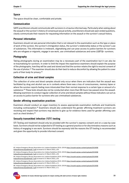#### **Space**

The space should be clean, comfortable and private.

#### **Communication**

SAFE practitioners should communicate with survivors in a trauma-informed way. Particularly when asking about the assault or the survivor's history of consensual sexual activity, practitioners should ask open ended questions, clearly communicate their reasons for requesting information on the assault or the survivor's sexual history.

#### **Personal information**

Examiners should not ask personal information that is not relevant to the examination such as the type or place of work of the survivor, the survivor's immigration status, the survivor's relationship status or the survivor's use of substances. This information is irrelevant, stigmatising and can pose access to justice barriers for survivors who are refugees or migrants, engage in sex work, use criminalised substances and some LGBTQI+ survivors.

#### **Photography**

Taking photographs during an examination may be a necessary part of the examination but it can also be re-traumatising for survivors. In order to limit the impact the experience examiners should explain the purpose of the photographs, how they will be used and stored and that the survivor retains the right to rescind consent of the use of photos.<sup>62</sup> The examiner should also do their best to reduce discomfort by allowing the patient to cover parts of their body for privacy.<sup>63</sup>

#### **Collection of urine and blood samples**

The collection of urine and blood samples should only occur when there are indicators that the assault was facilitated by drug and alcohol use as in contexts where there was a loss of consciousness, memory lapse or where the survivor reports feeling more intoxicated than their normal response to a certain type or amount of a substance.64 These tests should also not be conducted when more than 96 hours has passed since the assault. Allowing examiners to conduct regular collection of urine and blood samples without these indicators can act as an access to justice barrier for survivors who use criminalised substances.

#### **Gender affirming examination practices**

Examiners should conduct an organ inventory to assess appropriate examination methods and treatments including contraception.65 Examiners should also understand the gender affirming treatment survivors are receiving and respect that survivors may decline to give up for evidence items used for gender affirming care such as chest binders.<sup>66</sup>

#### **Sexually transmitted infection ('STI') testing**

STI Testing and treatment should only be provided with the survivor's express consent and on a case-by-case basis. Survivors should not be subjected to STI testing as a general practice or for discriminatory reasons such as history of engaging in sex work. Survivors should be expressly told the reasons the STI testing is recommended and given the opportunity to provide informed consent.

<sup>62.</sup> Indiana Emergency Nurses Association et al, Indiana Guidelines 2019, (2019) [https://icesaht.org/wp-content/uploads/2019/08/](https://icesaht.org/wp-content/uploads/2019/08/IndianaForensicsGuidelinesE-7.pdf) [IndianaForensicsGuidelinesE-7.pdf](https://icesaht.org/wp-content/uploads/2019/08/IndianaForensicsGuidelinesE-7.pdf) accessed on 21 March 2022, p 30.

<sup>63.</sup> Indiana Emergency Nurses Association et al, Indiana Guidelines 2019, (2019) [https://icesaht.org/wp-content/uploads/2019/08/](https://icesaht.org/wp-content/uploads/2019/08/IndianaForensicsGuidelinesE-7.pdf) [IndianaForensicsGuidelinesE-7.pdf](https://icesaht.org/wp-content/uploads/2019/08/IndianaForensicsGuidelinesE-7.pdf) accessed on 21 March 2022, p 30.

<sup>64.</sup> Indiana Emergency Nurses Association et al, Indiana Guidelines 2019, (2019) [https://icesaht.org/wp-content/uploads/2019/08/](https://icesaht.org/wp-content/uploads/2019/08/IndianaForensicsGuidelinesE-7.pdf) [IndianaForensicsGuidelinesE-7.pdf](https://icesaht.org/wp-content/uploads/2019/08/IndianaForensicsGuidelinesE-7.pdf) accessed on 21 March 2022, p 35.

<sup>65.</sup> Indiana Emergency Nurses Association et al, Indiana Guidelines 2019, (2019) [https://icesaht.org/wp-content/uploads/2019/08/](https://icesaht.org/wp-content/uploads/2019/08/IndianaForensicsGuidelinesE-7.pdf) [IndianaForensicsGuidelinesE-7.pdf](https://icesaht.org/wp-content/uploads/2019/08/IndianaForensicsGuidelinesE-7.pdf) accessed on 21 March 2022, p 11.

<sup>66.</sup> Indiana Emergency Nurses Association et al, Indiana Guidelines 2019, (2019) [https://icesaht.org/wp-content/uploads/2019/08/](https://icesaht.org/wp-content/uploads/2019/08/IndianaForensicsGuidelinesE-7.pdf) [IndianaForensicsGuidelinesE-7.pdf](https://icesaht.org/wp-content/uploads/2019/08/IndianaForensicsGuidelinesE-7.pdf) accessed on 21 March 2022, p 11.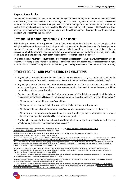#### <span id="page-33-0"></span>**Purpose of examination**

Examinations should never be conducted to reach findings rooted in stereotypes and myths. For example, while examiners may want to visualise and record findings about a survivor's hymen as part of a SAFE,<sup>67</sup> they should under no circumstances undertake a 'virginity test' or use the findings from the visualisation of the hymen to made a determination about a survivor's virginity. The World Health Organisation has called for 'virginity testing' to be entirely eliminated, finding the practice to be in violation of human rights, discriminatory and "unscientific, medically unnecessary and unreliable".68

## **How should the findings from SAFE be used?**

SAFE findings can be used to supplement other evidence but, when the SAFE does not produce physical or biological evidence of the assault, the findings should not be used to dismiss the case or for investigators to conclude the sexual assault did not happen. Instead, investigators and lawyers should undertake a balanced assessment of all the relevant evidence considering whether each piece of evidence is relevant, admissible, credible, reliable and how important it is in relation to the issues that arise in the case.<sup>69</sup>

SAFE findings should never be used by investigators or other legal actors to reach conclusions unsubstantiated by medical evidence.70 For example, the existence of a stretched or torn hymen should only be used as evidence to corroborate injury from sexual assault and not for any other purpose including the drawing of inference about the survivor's sexual history.

## **PSYCHOLOGICAL AND PSYCHIATRIC EXAMINATIONS**

- Psychological or psychiatric examinations should be requested on a case-by-case basis and should not be regularly resorted to for specific cases or for survivors with mental health or intellectual disabilities;<sup>71</sup>
- Psychological or psychiatric examinations should be used to assess the ways survivors can participate in legal proceedings and the types of support and accommodation that needs to be put in place to facilitate the survivor's maximum participation;
- Examiners should not be asked to make findings of witness credibility. It is the responsibility of the judge to make assessments of credibility based on all the evidence before them. Examiners can provide information on:72
	- The nature and extent of the survivor's condition;
	- The nature of the symptoms including any triggers/alleviating or aggravating factors;
	- The impact of medical conditions on a survivor's perception, comprehension, recollection; and,
	- The measures that can be put in place to facilitate participation particularly with reference to witness interviews and questioning and ability to communicate priorities.
- Psychological or psychiatric examinations should be weighed carefully with other available evidence and should not be presumed to be objective or conclusive.<sup>73</sup>

<sup>67.</sup> Indiana Emergency Nurses Association et al, Indiana Guidelines 2019, (2019) [https://icesaht.org/wp-content/uploads/2019/08/](https://icesaht.org/wp-content/uploads/2019/08/IndianaForensicsGuidelinesE-7.pdf) [IndianaForensicsGuidelinesE-7.pdf](https://icesaht.org/wp-content/uploads/2019/08/IndianaForensicsGuidelinesE-7.pdf) accessed on 21 March 2022, p 33.

<sup>68.</sup> Indiana Emergency Nurses Association et al, Indiana Guidelines 2019, (2019) [https://icesaht.org/wp-content/uploads/2019/08/](https://icesaht.org/wp-content/uploads/2019/08/IndianaForensicsGuidelinesE-7.pdf) [IndianaForensicsGuidelinesE-7.pdf](https://icesaht.org/wp-content/uploads/2019/08/IndianaForensicsGuidelinesE-7.pdf) accessed on 21 March 2022, p 5.

<sup>69.</sup> Crown Prosecution Service, Rape and Sexual Offences - Chapter 2: Applying the Code for Crown Prosecutors to Rape and Serious Sexual Offences, (2021) <https://www.cps.gov.uk/legal-guidance/rape-and-sexual-offences-chapter-2-applying-code-crown-prosecutors-rape-and-serious>accessed on 21 March 2022; see also Council of Europe, Effectively Investigating Prosecuting and Adjudicating Sexual Violence Cases: A Manual for Practitioners in Georgia, (2021) https://live-equality-now.pantheonsite.io/wp-content/uploads/2021/11/Effectively\_Investigating Prosecuting\_and\_Adjudicating\_Sexual\_Violence\_in Georgia - A Manual - English.pdf accessed on 21 March 2022.

<sup>70.</sup> Council of Europe, Effectively Investigating Prosecuting and Adjudicating Sexual Violence Cases: A Manual for Practitioners in Georgia, (2021) [https://live-equality-now.pantheonsite.io/wp-content/uploads/2021/11/Effectively\\_Investigating\\_\\_Prosecuting\\_and\\_Adjudicating\\_Sexual\\_Violence\\_in\\_](https://live-equality-now.pantheonsite.io/wp-content/uploads/2021/11/Effectively_Investigating__Prosecuting_and_Adjudicating_Sexual_Violence_in_Georgia_-_A_Manual_-_English.pdf) Georgia - A Manual - English.pdf accessed on 21 March 2022.

<sup>71.</sup> Mind, Achieving justice for victims and witnesses with mental distress A mental health toolkit for prosecutors and advocates [https://www.mind.org.uk/](https://www.mind.org.uk/media-a/4325/prosecutors__toolkit.pdf) media-a/4325/prosecutors toolkit.pdf accessed on 21 March 2022, p 26.

<sup>72.</sup> Mind, Achieving justice for victims and witnesses with mental distress A mental health toolkit for prosecutors and advocates [https://www.mind.org.uk/](https://www.mind.org.uk/media-a/4325/prosecutors__toolkit.pdf) media-a/4325/prosecutors toolkit.pdf accessed on 21 March 2022, p 26.

<sup>73.</sup> Mind, Achieving justice for victims and witnesses with mental distress A mental health toolkit for prosecutors and advocates [https://www.mind.org.uk/](https://www.mind.org.uk/media-a/4325/prosecutors__toolkit.pdf) media-a/4325/prosecutors\_toolkit.pdf accessed on 21 March 2022, p 27; for data on the shortfalls of medical examinations see [https://journals.sagepub.](https://journals.sagepub.com/stoken/default+domain/10.1177%2F1529100619888860+-+FREE/pdf) [com/stoken/default+domain/10.1177%2F1529100619888860+-+FREE/pdf](https://journals.sagepub.com/stoken/default+domain/10.1177%2F1529100619888860+-+FREE/pdf)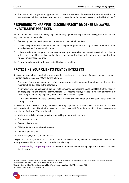<span id="page-34-0"></span> $\triangleright$  Survivors should be given the opportunity to choose the examiner of choice and, whenever possible, the examination should be undertaken by someone who knows the survivor's condition and is involved in their care.74

## **RESPONDING TO HARMFUL, DISCRIMINATORY OR OTHER UNLAWFUL INVESTIGATIVE PRACTICES**

We recommend you take the following steps immediately upon becoming aware of investigative practices that may pose harmful to the survivor:

- 1. Requesting that the investigator/medical examiner change their practice;
- 2. If the investigator/medical examiner does not change their practice, speaking to a senior member of the investigative/medical examination team;
- 3. If there is no internal change in practice, recommending to the survivor that they withdraw their participation in the process until the practice can be changed and supporting them in the interim by connecting them with community services; and,
- 4. Filing a formal complaint with an oversight body or court of law.

## **PROTECTING YOUR CLIENT'S PRIVACY INTERESTS**

Survivors of trauma hold important privacy interests in medical and other types of records that are commonly sought in legal proceedings.75 Consider the following:

- A survivor of sexual violence may be afraid to seek support after an assault out of fear that her medical records will be disclosed to the defendant.
- A survivor of a homophobic or transphobic hate crime may not report the abuse out of fear that their history on dating applications or private communications will become public, perhaps outing them to members of their family or community or placing them at risk of harassment by police.
- A survivor of harassment in the workplace may fear a mental health condition is disclosed to their employer during a civil suit.

Survivors of trauma may hold privacy interests in a variety of private records not limited to medical records. The main consideration should be whether the record contains personal information over which there is a reasonable expectation of privacy.<sup>76</sup> This may include:

- Medical records including psychiatric, counselling or therapeutic records;
- Employment records;
- ▶ Records of education;
- $\triangleright$  Child protection or social service records;
- ▶ Diaries or journals; and,
- ▶ Text messages, emails, phone records.

Lawyers have an obligation to their client and to the administration of justice to actively protect their client's privacy interests. We recommend you consider the following:

1. Understanding competing interests in record disclosure and educating legal actors on best practices for disclosure.

75. United Nations, CEDAW General Comment No 33 on Women's Access to Justice, CEDAW/C/GC/33, para 17(f).

<sup>76.</sup> Criminal Code [Canada], C-46, 1985, s 278.



<sup>74.</sup> Mind, Achieving justice for victims and witnesses with mental distress A mental health toolkit for prosecutors and advocates [https://www.mind.org.uk/](https://www.mind.org.uk/media-a/4325/prosecutors__toolkit.pdf) media-a/4325/prosecutors\_toolkit.pdf accessed on 21 March 2022, p 26.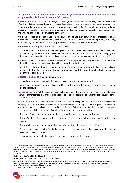#### As a general rule: the initiation of legal proceedings, whether civil or criminal, should not lead to an open-ended disclosure of personal information.<sup>77</sup>

While disclosure is an important part of legal proceedings, disclosure must be limited by the rules of evidence of each jurisdiction. Lawyers should know these rules well and, where the rules of evidence are in contradiction or contravention of international principles surrounding access to justice for complainants, lawyers should advocate for the rules of evidence to be amended by challenging disclosure requests in court proceedings and undertaking out of court law reform advocacy.

While the process for disclosure varies among jurisdictions and even between legal processes within a jurisdiction, disclosure processes should allow for a thoughtful consideration of competing interests providing an opportunity for the holder of the privacy interest to challenge the disclosure request.

Ideally disclosure request processes should involve:

- A written submission by the party requesting disclosure that sets out explicitly and specifically the reason for requesting the disclosure. It is essential that the request is specific in order to avoid sweeping and intrusive requests and to allow for decision makers to make a proper assessment of the request.<sup>78</sup>
- An opportunity to challenge the disclosure request preferably in a closed hearing and have the challenge heard by a competent decision maker with the requisite authority; and,
- A detailed decision setting out the boundaries of the disclosure including any publication and transmission of the contents of the disclosure application, the arguments made by the parties to the disclosure request and the discloser granted.79

Disclosure decisions should be governed by:

- $\triangleright$  The relevancy of the evidence to the legal issues arising in the proceeding; and,
- A balancing of the value of the disclosure and the private and societal interests, if any, that are impacted by the disclosure.<sup>80</sup>

Assessing relevancy of the evidence may involve tackling myths and stereotypes. Lawyers should know the types of stereotypes that arise in legal proceedings and be prepared to challenge the relevance of the disclosure sought.

Balancing interests at stake is a complex exercise that is context specific. In some jurisdictions, legislation expressly sets out the interests that should be considered when assessing disclosure requests. For example, in Canada, courts are legislatively required to consider the following competing interests when assessing disclosure requests by defendants of confidential information in sexual assault trials:<sup>81</sup>

- Interests of justice including the right of the accused to make a full answer and defence;
- Society's interest in encouraging the reporting of certain crimes such as sexual assault or domestic violence;
- ▶ Society's interest in encouraging victims to receive treatment following a violent offence;
- ▶ The need to remove from the fact-finding process any discriminatory belief or bias (ie who the survivor is/sexual history is irrelevant)
- ▶ The potential prejudice to the survivor's personal dignity and right to privacy.

<sup>77.</sup> Crown Prosecution Service, Victims and witnesses who have mental health issues and/or learning disabilities: Prosecution Guidance, 'Medical records – the duty of disclosure' and Annex B (2010) [https://www.cps.gov.uk/legal-guidance/mental-health-victims-and-witnesses-mental-health-conditions-and](https://www.cps.gov.uk/legal-guidance/mental-health-victims-and-witnesses-mental-health-conditions-and-disorders)[disorders](https://www.cps.gov.uk/legal-guidance/mental-health-victims-and-witnesses-mental-health-conditions-and-disorders) accessed on 21 March 2022. See also Crown Prosecution Service, Guidance Booklet for Experts. Disclosure: Experts' Evidence, Case Management and Unused Material, (2010), <https://www.cps.gov.uk/legal-guidance/cps-guidance-experts-disclosure-unused-material-and-case-management> accessed on 21 March 2022.

<sup>78.</sup> See e.g. R v Goldfinch, 2019 SCC 38 para 69.

<sup>79.</sup> See e.g. Criminal Code [Canada], C-46, 1985, article 278., s 278.95.

<sup>80.</sup> For example in Canada, section 276(2) of the Criminal Code prohibits an accused from leading sexual activity evidence unless the evidence is a) was of specific instances of sexual activity; b) was relevant to an issue at trial; and c) had significant probative value that is not substantially outweighed by the danger of prejudice to the proper administration of justice.

<sup>81.</sup> Criminal Code [Canada], C-46, 1985, s 278.92(3).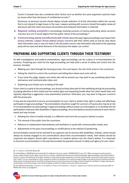<span id="page-36-0"></span>Courts in Canada have also considered other factors such as whether the same argument could be made by means other than disclosure of confidential records.<sup>82</sup>

Disclosure of personal records should always include redaction of all the information within the records that is not relevant to legal issues in the case. Lawyers working with survivors should thoroughly review all disclosure with the client and ensure all sensitive and irrelevant information is redacted.

- 2. Regularly seeking anonymity in proceedings involving survivors of trauma particularly where survivors may face any sort of social stigma from the public nature of the proceedings.<sup>83</sup>
- 3. Communicating openly and effectively with clients about the ways legal proceedings may impact their privacy interests. Lawyers should address privacy concerns with their clients early on and be clear about what information may or may not make it into the public record, how information disclosed to the opposing party will be used and what elements of the disclosure the lawyer can control.

## **PREPARING AND SUPPORTING CLIENTS THROUGH THEIR TESTIMONY**

As with investigations and medical examinations, legal proceedings can be a place of re-traumatisation for survivors. Preparing your client for the legal proceeding can help build a sense of safety and control over the process. Consider:

- In Walking your client through the hearing process, the court layout, the role of the actors in the courtroom;
- Taking the client for a visit to the courtroom and telling them where each actor will sit;
- If you know the judge, lawyers and clerks who will be present you may want to say something about their demeanour and communication style; and,
- Explaining court rituals such as taking of the oath.

If your client is a party to the proceedings, you should actively advocate for their wellbeing during the proceeding by paying attention to their verbal and non-verbal signs and requesting breaks when the client needs them and regularly objecting to aggressive cross-examination practices. Otherwise, you may want to flag your concerns with the prosecutor.

It may also be important to secure accommodation for your client to protect their right to safely and effectively participate in legal proceedings.84 Accommodation should be sought for survivors of trauma who may be at risk of re-traumatisation by participating in legal proceedings without proper accommodation or to facilitate the full participation of persons with disabilities in legal proceedings. Accommodations should be tailored to each client's needs and may include:

- $\blacktriangleright$  Allowing the client to testify virtually, in a different room from the accused or behind a screen;
- $\triangleright$  The removal of the public from the courtroom;
- Reliance on independent intermediaries and facilitators to assist with communication needs; and,
- $\blacktriangleright$  Adjustments to the pace of proceedings or modifications to the method of questioning.

Accommodation should not be resorted to as a general rule for persons with disabilities. Instead, clients should always be actively engaged in any conversations about their accommodation needs, their wishes should be respected and lawyers should reject overreliance on medical opinion over the client's wishes. It is important to structure accommodation in the way that provides the greatest amount of safety and agency for your client.

<sup>82.</sup> R v Goldfinch, 2019 SCC 38 para 69.

<sup>83.</sup> United Nations, CEDAW General Comment No.33 on Women's Access to Justice, CEDAW/C/GC/33, para 17(f). [When necessary to protect women's privacy, safety and other human rights, ensure that, in a manner consistent with due process and fair proceedings, legal proceedings can be held privately in whole or in part or that testimony can be given remotely or using communications equipment, such that only the parties concerned are able to gain access to their content. The use of pseudonyms or other measures to protect the identities of such women during all stages of the judicial process should be permitted. States parties should guarantee the possibility of taking measures to protect the privacy and image of victims through the prohibition of image capturing and broadcasting in cases where doing so may violate the dignity, emotional condition and security of girls and women.]

<sup>84.</sup> See UN General Assembly, *Convention on the Rights of Persons with Disabilities : resolution / adopted by the General Assembly*, 24 January 2007, A/ RES/61/106, article 12, paragraph 3.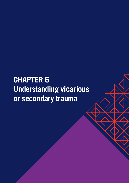# <span id="page-37-0"></span>**CHAPTER 6 Understanding vicarious or secondary trauma**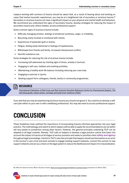<span id="page-38-0"></span>Lawyers working with survivors of trauma should be aware that, as a result of hearing about and working on cases that involve traumatic experiences, you may be at a heightened risk of secondary or vicarious trauma.<sup>85</sup> Secondary or vicarious trauma can have a significant impact on your physical and mental health and behaviour. We recommend you understand the signs of secondary trauma, develop strategies for reducing the impact of secondary trauma and, where needed, access professional support.

Some common signs of vicarious trauma include:

- Difficulty managing emotion, feelings of emotional numbness, anger, or irritability;
- Becoming overly involved or emotional with clients;
- Experiences of bystander guilt or shame;
- Fatigue, feeling easily distracted or feelings of hopelessness;
- Withdrawal from friends and family, increased interpersonal conflict;
- Harmful substance use.

Some strategies for reducing the risk of vicarious trauma include:

- Increasing self-awareness by charting signs of stress, anxiety or burnout;
- Engaging in self-care, hobbies and soothing activities;
- Maintaining a healthy work-life balance including reducing your case load;
- Engaging in exercise or sports;
- Seeking support form colleagues, friends, family or community programmes.

#### **RESOURCE**

[International Federation of Red Cross and Red Crescent Societies Reference Centre for Psychosocial Support, The](https://pscentre.org/wp-content/uploads/2022/02/The-Well-being-Guide-Reduce-stress-recharge-and-build-inner-resilience.pdf)  [well-being guide: reduce stress, recharge and build inner resilience \(2022\)](https://pscentre.org/wp-content/uploads/2022/02/The-Well-being-Guide-Reduce-stress-recharge-and-build-inner-resilience.pdf)

If you feel that you may be experiencing vicarious trauma you should not ignore it. You could try to develop a selfcare plan either on your own or with a wellbeing professional. You may also want to access professional support.

## **CONCLUSION**

These Guidelines have outlined the importance of incorporating trauma informed approaches into your legal practice. The methodology and extent to which lawyers will be able to apply the recommendations set out within will vary based on jurisdiction among other factors. However, the general principles underlying TILP can be adapted to all legal contexts. Namely, TILP calls on lawyers to develop a legal practice culture that takes into account the impact of trauma at all stages of service provision and seeks to prioritise client safety and agency throughout legal proceedings. Central to TILP is also the principle that lawyers should see themselves as an actor in the survivor's care circle and work actively to engage existing support networks, connect the survivor to new support networks and act as a check on the legal system to reduce the likelihood and impact of re-traumatisation.

85. Office for Victims of Crime, What is Vicarious Trauma,<https://ovc.ojp.gov/program/vtt/what-is-vicarious-trauma> accessed on 21 March 2022.